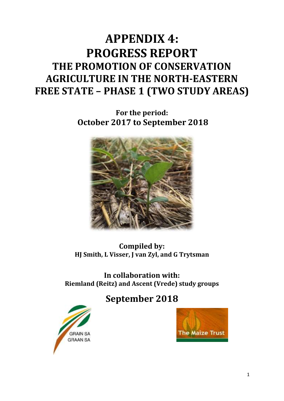# **APPENDIX 4: PROGRESS REPORT THE PROMOTION OF CONSERVATION AGRICULTURE IN THE NORTH-EASTERN FREE STATE – PHASE 1 (TWO STUDY AREAS)**

**For the period: October 2017 to September 2018**



**Compiled by: HJ Smith, L Visser, J van Zyl, and G Trytsman**

**In collaboration with: Riemland (Reitz) and Ascent (Vrede) study groups**

# **September 2018**



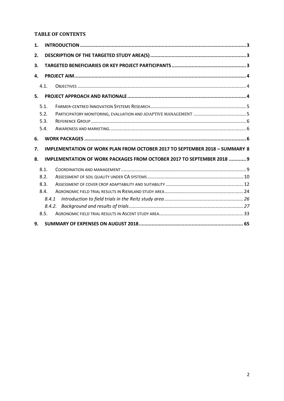### **TABLE OF CONTENTS**

| 1. |        |                                                                                    |  |
|----|--------|------------------------------------------------------------------------------------|--|
| 2. |        |                                                                                    |  |
| 3. |        |                                                                                    |  |
| 4. |        |                                                                                    |  |
|    | 4.1.   |                                                                                    |  |
| 5. |        |                                                                                    |  |
|    | 5.1.   |                                                                                    |  |
|    | 5.2.   |                                                                                    |  |
|    | 5.3.   |                                                                                    |  |
|    | 5.4.   |                                                                                    |  |
| 6. |        |                                                                                    |  |
| 7. |        | <b>IMPLEMENTATION OF WORK PLAN FROM OCTOBER 2017 TO SEPTEMBER 2018 - SUMMARY 8</b> |  |
| 8. |        | IMPLEMENTATION OF WORK PACKAGES FROM OCTOBER 2017 TO SEPTEMBER 2018  9             |  |
|    | 8.1.   |                                                                                    |  |
|    | 8.2.   |                                                                                    |  |
|    | 8.3.   |                                                                                    |  |
|    | 8.4.   |                                                                                    |  |
|    | 8.4.1  |                                                                                    |  |
|    | 8.4.2. |                                                                                    |  |
|    | 8.5.   |                                                                                    |  |
|    |        |                                                                                    |  |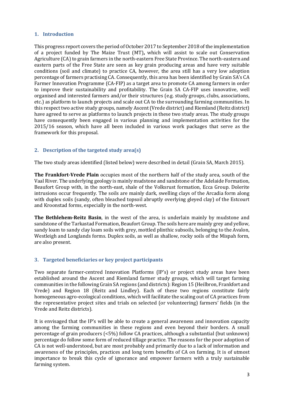### <span id="page-2-0"></span>**1. Introduction**

This progress report covers the period of October 2017 to September 2018 of the implementation of a project funded by The Maize Trust (MT)**,** which will assist to scale out Conservation Agriculture (CA) to grain farmers in the north-eastern Free State Province. The north-eastern and eastern parts of the Free State are seen as key grain producing areas and have very suitable conditions (soil and climate) to practice CA, however, the area still has a very low adoption percentage of farmers practising CA. Consequently, this area has been identified by Grain SA's CA Farmer Innovation Programme (CA-FIP) as a target area to promote CA among farmers in order to improve their sustainability and profitability. The Grain SA CA-FIP uses innovative, well organised and interested farmers and/or their structures (e.g. study groups, clubs, associations, etc.) as platform to launch projects and scale out CA to the surrounding farming communities. In this respect two active study groups, namely Ascent (Vrede district) and Riemland (Reitz district) have agreed to serve as platforms to launch projects in these two study areas. The study groups have consequently been engaged in various planning and implementation activities for the 2015/16 season, which have all been included in various work packages that serve as the framework for this proposal.

### <span id="page-2-1"></span>**2. Description of the targeted study area(s)**

The two study areas identified (listed below) were described in detail (Grain SA, March 2015).

**The Frankfort-Vrede Plain** occupies most of the northern half of the study area, south of the Vaal River. The underlying geology is mainly mudstone and sandstone of the Adelaide Formation, Beaufort Group with, in the north-east, shale of the Volksrust formation, Ecca Group. Dolerite intrusions occur frequently. The soils are mainly dark, swelling clays of the Arcadia form along with duplex soils (sandy, often bleached topsoil abruptly overlying gleyed clay) of the Estcourt and Kroonstad forms, especially in the north-west.

**The Bethlehem-Reitz Basin**, in the west of the area, is underlain mainly by mudstone and sandstone of the Tarkastad Formation, Beaufort Group. The soils here are mainly grey and yellow, sandy loam to sandy clay loam soils with grey, mottled plinthic subsoils, belonging to the Avalon, Westleigh and Longlands forms. Duplex soils, as well as shallow, rocky soils of the Mispah form, are also present.

### <span id="page-2-2"></span>**3. Targeted beneficiaries or key project participants**

Two separate farmer-centred Innovation Platforms (IP's) or project study areas have been established around the Ascent and Riemland farmer study groups, which will target farming communities in the following Grain SA regions (and districts): Region 15 (Heilbron, Frankfort and Vrede) and Region 18 (Reitz and Lindley). Each of these two regions constitute fairly homogeneous agro-ecological conditions, which will facilitate the scaling out of CA practices from the representative project sites and trials on selected (or volunteering) farmers' fields (in the Vrede and Reitz districts).

It is envisaged that the IP's will be able to create a general awareness and innovation capacity among the farming communities in these regions and even beyond their borders. A small percentage of grain producers (<5%) follow CA practices, although a substantial (but unknown) percentage do follow some form of reduced tillage practice. The reasons for the poor adoption of CA is not well-understood, but are most probably and primarily due to a lack of information and awareness of the principles, practices and long term benefits of CA on farming. It is of utmost importance to break this cycle of ignorance and empower farmers with a truly sustainable farming system.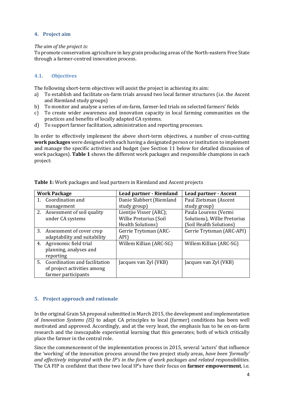### <span id="page-3-0"></span>**4. Project aim**

### *The aim of the project is:*

To promote conservation agriculture in key grain producing areas of the North-eastern Free State through a farmer-centred innovation process.

### <span id="page-3-1"></span>**4.1. Objectives**

The following short-term objectives will assist the project in achieving its aim:

- a) To establish and facilitate on-farm trials around two local farmer structures (i.e. the Ascent and Riemland study groups)
- b) To monitor and analyse a series of on-farm, farmer-led trials on selected farmers' fields
- c) To create wider awareness and innovation capacity in local farming communities on the practices and benefits of locally adapted CA systems.
- d) To support farmer facilitation, administration and reporting processes.

In order to effectively implement the above short-term objectives, a number of cross-cutting **work packages** were designed with each having a designated person or institution to implement and manage the specific activities and budget (see Section 11 below for detailed discussion of work packages). **Table 1** shows the different work packages and responsible champions in each project:

|    | <b>Work Package</b>              | Lead partner - Riemland  | <b>Lead partner - Ascent</b> |
|----|----------------------------------|--------------------------|------------------------------|
|    | Coordination and                 | Danie Slabbert (Riemland | Paul Zietsman (Ascent        |
|    | management                       | study group)             | study group)                 |
| 2. | Assessment of soil quality       | Lientjie Visser (ARC);   | Paula Lourens (Vermi         |
|    | under CA systems                 | Willie Pretorius (Soil   | Solutions), Willie Pretorius |
|    |                                  | <b>Health Solutions)</b> | (Soil Health Solutions)      |
|    | 3. Assessment of cover crop      | Gerrie Trytsman (ARC-    | Gerrie Trytsman (ARC-API)    |
|    | adaptability and suitability     | API)                     |                              |
| 4. | Agronomic field trial            | Willem Killian (ARC-SG)  | Willem Killian (ARC-SG)      |
|    | planning, analyses and           |                          |                              |
|    | reporting                        |                          |                              |
|    | 5. Coordination and facilitation | Jacques van Zyl (VKB)    | Jacques van Zyl (VKB)        |
|    | of project activities among      |                          |                              |
|    | farmer participants              |                          |                              |

**Table 1:** Work packages and lead partners in Riemland and Ascent projects

### <span id="page-3-2"></span>**5. Project approach and rationale**

In the original Grain SA proposal submitted in March 2015, the development and implementation of *Innovation Systems (IS)* to adapt CA principles to local (farmer) conditions has been well motivated and approved. Accordingly, and at the very least, the emphasis has to be on on-farm research and the inescapable experiential learning that this generates; both of which critically place the farmer in the central role.

Since the commencement of the implementation process in 2015, several 'actors' that influence the 'working' of the innovation process around the two project study areas, *have been 'formally' and effectively integrated with the IP's in the form of work packages and related responsibilities*. The CA FIP is confident that these two local IP's have their focus on **farmer empowerment**, i.e.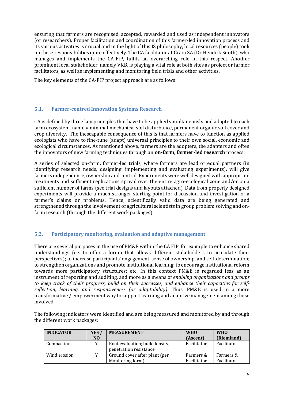ensuring that farmers are recognised, accepted, rewarded and used as independent innovators (or researchers). Proper facilitation and coordination of this farmer-led innovation process and its various activities is crucial and in the light of this IS philosophy, local resources (people) took up these responsibilities quite effectively. The CA facilitator at Grain SA (Dr Hendrik Smith), who manages and implements the CA-FIP, fulfils an overarching role in this respect. Another prominent local stakeholder, namely VKB, is playing a vital role at both sites as project or farmer facilitators, as well as implementing and monitoring field trials and other activities.

The key elements of the CA-FIP project approach are as follows:

### <span id="page-4-0"></span>**5.1. Farmer-centred Innovation Systems Research**

CA is defined by three key principles that have to be applied simultaneously and adapted to each farm ecosystem, namely minimal mechanical soil disturbance, permanent organic soil cover and crop diversity. The inescapable consequence of this is that farmers have to function as applied ecologists who have to fine-tune (adapt) universal principles to their own social, economic and ecological circumstances. As mentioned above, farmers are the adopters, the adapters and often the innovators of new farming techniques through an **on-farm, farmer-led research** process.

A series of selected on-farm, farmer-led trials, where farmers are lead or equal partners (in identifying research needs, designing, implementing and evaluating experiments), will give farmers independence, ownership and control. Experiments were well designed with appropriate treatments and sufficient replications spread over the entire agro-ecological zone and/or on a sufficient number of farms (see trial designs and layouts attached). Data from properly designed experiments will provide a much stronger starting point for discussion and investigation of a farmer's claims or problems. Hence, scientifically valid data are being generated and strengthened through the involvement of agricultural scientists in group problem solving and onfarm research (through the different work packages).

### <span id="page-4-1"></span>**5.2. Participatory monitoring, evaluation and adaptive management**

There are several purposes in the use of PM&E within the CA FIP, for example to enhance shared understandings (i.e. to offer a forum that allows different stakeholders to articulate their perspectives); to increase participants' engagement, sense of ownership, and self-determination; to strengthen organizations and promote institutional learning; to encourage institutional reform towards more participatory structures; etc. In this context PM&E is regarded less as an instrument of reporting and auditing, and more as a means of *enabling organizations and groups to keep track of their progress, build on their successes, and enhance their capacities for selfreflection, learning, and responsiveness (or adaptability)*. Thus, PM&E is used in a more transformative / empowerment way to support learning and adaptive management among those involved.

The following indicators were identified and are being measured and monitored by and through the different work packages:

| <b>INDICATOR</b> | YES /          | <b>MEASUREMENT</b>                                       | <b>WHO</b>  | <b>WHO</b>  |
|------------------|----------------|----------------------------------------------------------|-------------|-------------|
|                  | N <sub>O</sub> |                                                          | (Ascent)    | (Riemland)  |
| Compaction       |                | Root evaluation; bulk density;<br>penetration resistance | Facilitator | Facilitator |
| Wind erosion     |                | Ground cover after plant (per                            | Farmers &   | Farmers &   |
|                  |                | Monitoring form)                                         | Facilitator | Facilitator |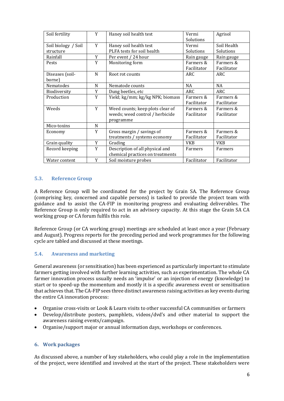| Soil fertility      | Y | Haney soil health test           | Vermi       | Agrisol     |
|---------------------|---|----------------------------------|-------------|-------------|
|                     |   |                                  | Solutions   |             |
| Soil biology / Soil | Y | Haney soil health test           | Vermi       | Soil Health |
| structure           |   | PLFA tests for soil health       | Solutions   | Solutions   |
| Rainfall            | Y | Per event / 24 hour              | Rain gauge  | Rain gauge  |
| Pests               | Y | Monitoring form                  | Farmers &   | Farmers &   |
|                     |   |                                  | Facilitator | Facilitator |
| Diseases (soil-     | N | Root rot counts                  | ARC         | ARC         |
| borne)              |   |                                  |             |             |
| Nematodes           | N | Nematode counts                  | <b>NA</b>   | <b>NA</b>   |
| Biodiversity        | Y | Dung beetles, etc                | ARC.        | ARC         |
| Production          | Y | Yield; kg/mm; kg/kg NPK; biomass | Farmers &   | Farmers &   |
|                     |   |                                  | Facilitator | Facilitator |
| Weeds               | Y | Weed counts; keep plots clear of | Farmers &   | Farmers &   |
|                     |   | weeds; weed control / herbicide  | Facilitator | Facilitator |
|                     |   | programme                        |             |             |
| Mico-toxins         | N |                                  |             |             |
| Economy             | Y | Gross margin / savings of        | Farmers &   | Farmers &   |
|                     |   | treatments / systems economy     | Facilitator | Facilitator |
| Grain quality       | Y | Grading                          | <b>VKB</b>  | <b>VKB</b>  |
| Record keeping      | Y | Description of all physical and  | Farmers     | Farmers     |
|                     |   | chemical practices on treatments |             |             |
| Water content       | Y | Soil moisture probes             | Facilitator | Facilitator |

### <span id="page-5-0"></span>**5.3. Reference Group**

A Reference Group will be coordinated for the project by Grain SA. The Reference Group (comprising key, concerned and capable persons) is tasked to provide the project team with guidance and to assist the CA-FIP in monitoring progress and evaluating deliverables. The Reference Group is only required to act in an advisory capacity. At this stage the Grain SA CA working group or CA forum fulfils this role.

Reference Group (or CA working group) meetings are scheduled at least once a year (February and August). Progress reports for the preceding period and work programmes for the following cycle are tabled and discussed at these meetings.

### <span id="page-5-1"></span>**5.4. Awareness and marketing**

General awareness (or sensitisation) has been experienced as particularly important to stimulate farmers getting involved with further learning activities, such as experimentation. The whole CA farmer innovation process usually needs an 'impulse' or an injection of energy (knowledge) to start or to speed-up the momentum and mostly it is a specific awareness event or sensitisation that achieves that. The CA-FIP sees three distinct awareness raising activities as key events during the entire CA innovation process:

- Organise cross-visits or Look & Learn visits to other successful CA communities or farmers
- Develop/distribute posters, pamphlets, videos/dvd's and other material to support the awareness raising events/campaign.
- <span id="page-5-2"></span>• Organise/support major or annual information days, workshops or conferences.

### **6. Work packages**

As discussed above, a number of key stakeholders, who could play a role in the implementation of the project, were identified and involved at the start of the project. These stakeholders were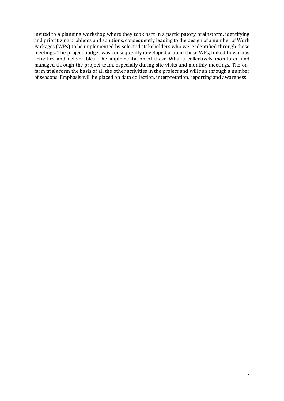invited to a planning workshop where they took part in a participatory brainstorm, identifying and prioritizing problems and solutions, consequently leading to the design of a number of Work Packages (WPs) to be implemented by selected stakeholders who were identified through these meetings. The project budget was consequently developed around these WPs, linked to various activities and deliverables. The implementation of these WPs is collectively monitored and managed through the project team, especially during site visits and monthly meetings. The onfarm trials form the basis of all the other activities in the project and will run through a number of seasons. Emphasis will be placed on data collection, interpretation, reporting and awareness.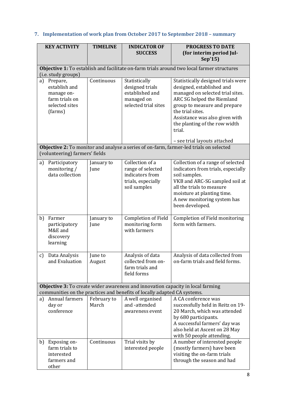#### **KEY ACTIVITY TIMELINE INDICATOR OF SUCCESS PROGRESS TO DATE (for interim period Jul-Sep'15) Objective 1:** To establish and facilitate on-farm trials around two local farmer structures (i.e. study groups) a) Prepare, establish and manage onfarm trials on selected sites (farms) Continuous Statistically designed trials established and managed on selected trial sites Statistically designed trials were designed, established and managed on selected trial sites. ARC SG helped the Riemland group to measure and prepare the trial sites. Assistance was also given with the planting of the row width trial. – see trial layouts attached **Objective 2:** To monitor and analyse a series of on-farm, farmer-led trials on selected (volunteering) farmers' fields a) Participatory monitoring / data collection January to June Collection of a range of selected indicators from trials, especially soil samples Collection of a range of selected indicators from trials, especially soil samples. VKB and ARC-SG sampled soil at all the trials to measure moisture at planting time. A new monitoring system has been developed. b) Farmer participatory M&E and discovery learning January to June Completion of Field monitoring form with farmers Completion of Field monitoring form with farmers. c) Data Analysis and Evaluation June to August Analysis of data collected from onfarm trials and field forms Analysis of data collected from on-farm trials and field forms. **Objective 3:** To create wider awareness and innovation capacity in local farming communities on the practices and benefits of locally adapted CA systems. a) Annual farmers day or conference February to March A well organised and -attended awareness event A CA conference was successfully held in Reitz on 19- 20 March, which was attended by 680 participants. A successful farmers' day was also held at Ascent on 28 May with 50 people attending. b) Exposing onfarm trials to interested farmers and other Continuous  $\frac{1}{2}$  Trial visits by interested people A number of interested people (mostly farmers) have been visiting the on-farm trials through the season and had

### <span id="page-7-0"></span>**7. Implementation of work plan from October 2017 to September 2018 – summary**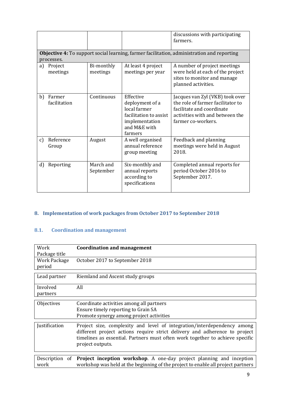|    |                        |                        |                                                                                                                     | discussions with participating<br>farmers.                                                                                                                 |
|----|------------------------|------------------------|---------------------------------------------------------------------------------------------------------------------|------------------------------------------------------------------------------------------------------------------------------------------------------------|
|    | processes.             |                        |                                                                                                                     | <b>Objective 4:</b> To support social learning, farmer facilitation, administration and reporting                                                          |
| a) | Project<br>meetings    | Bi-monthly<br>meetings | At least 4 project<br>meetings per year                                                                             | A number of project meetings<br>were held at each of the project<br>sites to monitor and manage<br>planned activities.                                     |
| b) | Farmer<br>facilitation | Continuous             | Effective<br>deployment of a<br>local farmer<br>facilitation to assist<br>implementation<br>and M&E with<br>farmers | Jacques van Zyl (VKB) took over<br>the role of farmer facilitator to<br>facilitate and coordinate<br>activities with and between the<br>farmer co-workers. |
| c) | Reference<br>Group     | August                 | A well organised<br>annual reference<br>group meeting                                                               | Feedback and planning<br>meetings were held in August<br>2018.                                                                                             |
| d) | Reporting              | March and<br>September | Six-monthly and<br>annual reports<br>according to<br>specifications                                                 | Completed annual reports for<br>period October 2016 to<br>September 2017.                                                                                  |

### <span id="page-8-0"></span>**8. Implementation of work packages from October 2017 to September 2018**

### <span id="page-8-1"></span>**8.1. Coordination and management**

| Work<br>Package title         | <b>Coordination and management</b>                                                                                                                                                                                                                         |
|-------------------------------|------------------------------------------------------------------------------------------------------------------------------------------------------------------------------------------------------------------------------------------------------------|
| <b>Work Package</b><br>period | October 2017 to September 2018                                                                                                                                                                                                                             |
| Lead partner                  | Riemland and Ascent study groups                                                                                                                                                                                                                           |
| Involved<br>partners          | All                                                                                                                                                                                                                                                        |
| Objectives                    | Coordinate activities among all partners<br>Ensure timely reporting to Grain SA<br>Promote synergy among project activities                                                                                                                                |
| Justification                 | Project size, complexity and level of integration/interdependency among<br>different project actions require strict delivery and adherence to project<br>timelines as essential. Partners must often work together to achieve specific<br>project outputs. |
| Description of<br>work        | Project inception workshop. A one-day project planning and inception<br>workshop was held at the beginning of the project to enable all project partners                                                                                                   |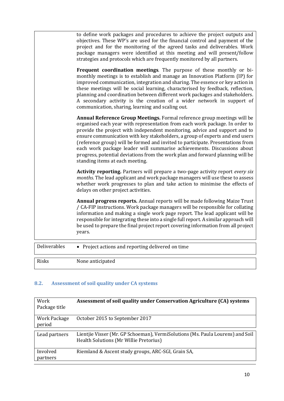|              | to define work packages and procedures to achieve the project outputs and<br>objectives. These WP's are used for the financial control and payment of the<br>project and for the monitoring of the agreed tasks and deliverables. Work<br>package managers were identified at this meeting and will present/follow<br>strategies and protocols which are frequently monitored by all partners.<br>Frequent coordination meetings. The purpose of these monthly or bi-<br>monthly meetings is to establish and manage an Innovation Platform (IP) for<br>improved communication, integration and sharing. The essence or key action in<br>these meetings will be social learning, characterised by feedback, reflection,<br>planning and coordination between different work packages and stakeholders.<br>A secondary activity is the creation of a wider network in support of<br>communication, sharing, learning and scaling out. |
|--------------|--------------------------------------------------------------------------------------------------------------------------------------------------------------------------------------------------------------------------------------------------------------------------------------------------------------------------------------------------------------------------------------------------------------------------------------------------------------------------------------------------------------------------------------------------------------------------------------------------------------------------------------------------------------------------------------------------------------------------------------------------------------------------------------------------------------------------------------------------------------------------------------------------------------------------------------|
|              | Annual Reference Group Meetings. Formal reference group meetings will be<br>organised each year with representation from each work package. In order to<br>provide the project with independent monitoring, advice and support and to<br>ensure communication with key stakeholders, a group of experts and end users<br>(reference group) will be formed and invited to participate. Presentations from<br>each work package leader will summarise achievements. Discussions about<br>progress, potential deviations from the work plan and forward planning will be<br>standing items at each meeting.                                                                                                                                                                                                                                                                                                                             |
|              | Activity reporting. Partners will prepare a two-page activity report every six<br>months. The lead applicant and work package managers will use these to assess<br>whether work progresses to plan and take action to minimise the effects of<br>delays on other project activities.                                                                                                                                                                                                                                                                                                                                                                                                                                                                                                                                                                                                                                                 |
|              | Annual progress reports. Annual reports will be made following Maize Trust<br>/ CA-FIP instructions. Work package managers will be responsible for collating<br>information and making a single work page report. The lead applicant will be<br>responsible for integrating these into a single full report. A similar approach will<br>be used to prepare the final project report covering information from all project<br>years.                                                                                                                                                                                                                                                                                                                                                                                                                                                                                                  |
| Deliverables | • Project actions and reporting delivered on time                                                                                                                                                                                                                                                                                                                                                                                                                                                                                                                                                                                                                                                                                                                                                                                                                                                                                    |

Risks None anticipated

### <span id="page-9-0"></span>**8.2. Assessment of soil quality under CA systems**

| Work<br>Package title         | Assessment of soil quality under Conservation Agriculture (CA) systems                                                   |
|-------------------------------|--------------------------------------------------------------------------------------------------------------------------|
| <b>Work Package</b><br>period | October 2015 to September 2017                                                                                           |
| Lead partners                 | Lientjie Visser (Mr. GP Schoeman), VermiSolutions (Ms. Paula Lourens) and Soil<br>Health Solutions (Mr Willie Pretorius) |
| Involved<br>partners          | Riemland & Ascent study groups, ARC-SGI, Grain SA,                                                                       |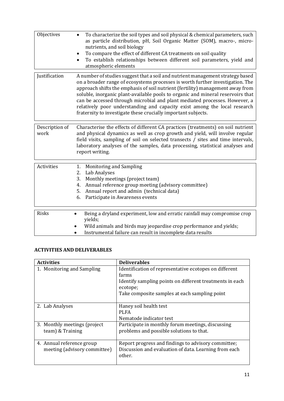| Objectives             | To characterize the soil types and soil physical & chemical parameters, such<br>as particle distribution, pH, Soil Organic Matter (SOM), macro-, micro-<br>nutrients, and soil biology<br>To compare the effect of different CA treatments on soil quality<br>To establish relationships between different soil parameters, yield and<br>atmospheric elements                                                                                                                                                                                                     |
|------------------------|-------------------------------------------------------------------------------------------------------------------------------------------------------------------------------------------------------------------------------------------------------------------------------------------------------------------------------------------------------------------------------------------------------------------------------------------------------------------------------------------------------------------------------------------------------------------|
| Justification          | A number of studies suggest that a soil and nutrient management strategy based<br>on a broader range of ecosystems processes is worth further investigation. The<br>approach shifts the emphasis of soil nutrient (fertility) management away from<br>soluble, inorganic plant-available pools to organic and mineral reservoirs that<br>can be accessed through microbial and plant mediated processes. However, a<br>relatively poor understanding and capacity exist among the local research<br>fraternity to investigate these crucially important subjects. |
| Description of<br>work | Characterise the effects of different CA practices (treatments) on soil nutrient<br>and physical dynamics as well as crop growth and yield, will involve regular<br>field visits, sampling of soil on selected transects / sites and time intervals,<br>laboratory analyses of the samples, data processing, statistical analyses and<br>report writing.                                                                                                                                                                                                          |
| Activities             | 1. Monitoring and Sampling<br>Lab Analyses<br>2.<br>Monthly meetings (project team)<br>3.<br>Annual reference group meeting (advisory committee)<br>4.<br>Annual report and admin (technical data)<br>5.<br>Participate in Awareness events<br>6.                                                                                                                                                                                                                                                                                                                 |
| Risks                  | Being a dryland experiment, low and erratic rainfall may compromise crop<br>yields;<br>Wild animals and birds may jeopardise crop performance and yields;<br>Instrumental failure can result in incomplete data results                                                                                                                                                                                                                                                                                                                                           |

### **ACTIVITIES AND DELIVERABLES**

| <b>Activities</b>                                         | <b>Deliverables</b>                                                                                                                                                                      |
|-----------------------------------------------------------|------------------------------------------------------------------------------------------------------------------------------------------------------------------------------------------|
| 1. Monitoring and Sampling                                | Identification of representative ecotopes on different<br>farms<br>Identify sampling points on different treatments in each<br>ecotope;<br>Take composite samples at each sampling point |
| 2. Lab Analyses                                           | Haney soil health test<br><b>PLFA</b><br>Nematode indicator test                                                                                                                         |
| 3. Monthly meetings (project)<br>team) & Training         | Participate in monthly forum meetings, discussing<br>problems and possible solutions to that.                                                                                            |
| 4. Annual reference group<br>meeting (advisory committee) | Report progress and findings to advisory committee;<br>Discussion and evaluation of data. Learning from each<br>other.                                                                   |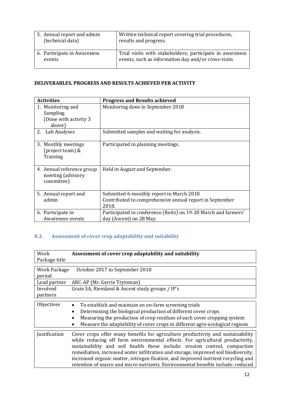| 5. Annual report and admin  | Written technical report covering trial procedures,      |
|-----------------------------|----------------------------------------------------------|
| (technical data)            | results and progress.                                    |
| 6. Participate in Awareness | Trial visits with stakeholders; participate in awareness |
| events                      | events, such as information day and/or cross-visits      |

### **DELIVERABLES, PROGRESS AND RESULTS ACHIEVED PER ACTIVITY**

| <b>Activities</b>                                                 | <b>Progress and Results achieved</b>                                                                         |
|-------------------------------------------------------------------|--------------------------------------------------------------------------------------------------------------|
| 1. Monitoring and<br>Sampling<br>(Done with activity 3)<br>above) | Monitoring done in September 2018                                                                            |
| 2. Lab Analyses                                                   | Submitted samples and waiting for analysis.                                                                  |
| 3. Monthly meetings<br>(project team) &<br>Training               | Participated in planning meetings.                                                                           |
| 4. Annual reference group<br>meeting (advisory<br>committee)      | Held in August and September.                                                                                |
| 5. Annual report and<br>admin                                     | Submitted 6-monthly report in March 2018<br>Contributed to comprehensive annual report in September<br>2018. |
| 6. Participate in<br>Awareness events                             | Participated in conference (Reitz) on 19-20 March and farmers'<br>day (Ascent) on 28 May.                    |

### <span id="page-11-0"></span>**8.3. Assessment of cover crop adaptability and suitability**

| Work                   | Assessment of cover crop adaptability and suitability                                                                                                                                                                                                                                                                                                                                                                                                                                                      |
|------------------------|------------------------------------------------------------------------------------------------------------------------------------------------------------------------------------------------------------------------------------------------------------------------------------------------------------------------------------------------------------------------------------------------------------------------------------------------------------------------------------------------------------|
| Package title          |                                                                                                                                                                                                                                                                                                                                                                                                                                                                                                            |
| Work Package<br>period | October 2017 to September 2018                                                                                                                                                                                                                                                                                                                                                                                                                                                                             |
| Lead partner           | ARC-AP (Mr. Gerrie Trytsman)                                                                                                                                                                                                                                                                                                                                                                                                                                                                               |
| Involved               | Grain SA, Riemland & Ascent study groups / IP's                                                                                                                                                                                                                                                                                                                                                                                                                                                            |
| partners               |                                                                                                                                                                                                                                                                                                                                                                                                                                                                                                            |
| Objectives             | To establish and maintain an on-farm screening trials<br>Determining the biological production of different cover crops<br>Measuring the production of crop residues of each cover cropping system<br>Measure the adaptability of cover crops in different agro-ecological regions                                                                                                                                                                                                                         |
| Justification          | Cover crops offer many benefits for agriculture productivity and sustainability<br>while reducing off farm environmental effects. For agricultural productivity,<br>sustainability and soil health these include: erosion control, compaction<br>remediation, increased water infiltration and storage, improved soil biodiversity,<br>increased organic matter, nitrogen fixation, and improved nutrient recycling and<br>retention of macro and micro nutrients. Environmental benefits include: reduced |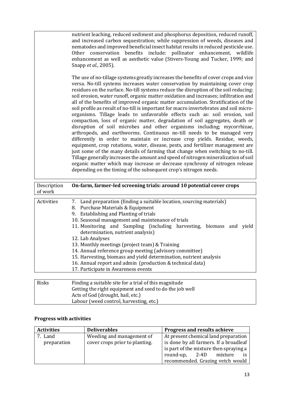nutrient leaching, reduced sediment and phosphorus deposition, reduced runoff, and increased carbon sequestration; while suppression of weeds, diseases and nematodes and improved beneficial insect habitat results in reduced pesticide use. Other conservation benefits include: pollinator enhancement, wildlife enhancement as well as aesthetic value (Stivers-Young and Tucker, 1999; and Snapp *et al.,* 2005).

The use of no-tillage systems greatly increases the benefits of cover crops and vice versa. No-till systems increases water conservation by maintaining cover crop residues on the surface. No-till systems reduce the disruption of the soil reducing: soil erosion, water runoff, organic matter oxidation and increases; infiltration and all of the benefits of improved organic matter accumulation. Stratification of the soil profile as result of no-till is important for macro invertebrates and soil microorganisms. Tillage leads to unfavorable effects such as: soil erosion, soil compaction, loss of organic matter, degradation of soil aggregates, death or disruption of soil microbes and other organisms including; mycorrhizae, arthropods, and earthworms. Continuous no-till needs to be managed very differently in order to maintain or increase crop yields. Residue, weeds, equipment, crop rotations, water, disease, pests, and fertilizer management are just some of the many details of farming that change when switching to no-till. Tillage generally increases the amount and speed of nitrogen mineralization of soil organic matter which may increase or decrease synchrony of nitrogen release depending on the timing of the subsequent crop's nitrogen needs.

| Description<br>of work | On-farm, farmer-led screening trials: around 10 potential cover crops                                                                                                                                                                                                                                                                                                                                                                                                                                                                                                                                                                |
|------------------------|--------------------------------------------------------------------------------------------------------------------------------------------------------------------------------------------------------------------------------------------------------------------------------------------------------------------------------------------------------------------------------------------------------------------------------------------------------------------------------------------------------------------------------------------------------------------------------------------------------------------------------------|
| Activities             | 7. Land preparation (finding a suitable location, sourcing materials)<br>8. Purchase Materials & Equipment<br>9. Establishing and Planting of trials<br>10. Seasonal management and maintenance of trials<br>11. Monitoring and Sampling (including harvesting, biomass and<br>yield<br>determination, nutrient analysis)<br>12. Lab Analyses<br>13. Monthly meetings (project team) & Training<br>14. Annual reference group meeting (advisory committee)<br>15. Harvesting, biomass and yield determination, nutrient analysis<br>16. Annual report and admin (production & technical data)<br>17. Participate in Awareness events |
| Risks                  | Finding a suitable site for a trial of this magnitude.                                                                                                                                                                                                                                                                                                                                                                                                                                                                                                                                                                               |

| Risks | Finding a suitable site for a trial of this magnitude   |
|-------|---------------------------------------------------------|
|       | Getting the right equipment and seed to do the job well |
|       | Acts of God (drought, hail, etc.)                       |
|       | Labour (weed control, harvesting, etc.)                 |

### **Progress with activities**

| <b>Activities</b> | <b>Deliverables</b>            | Progress and results achieve           |  |  |
|-------------------|--------------------------------|----------------------------------------|--|--|
| 7. Land           | Weeding and management of      | At present chemical land preparation   |  |  |
| preparation       | cover crops prior to planting. | is done by all farmers. If a broadleaf |  |  |
|                   |                                | is part of the mixture then spraying a |  |  |
|                   |                                | round-up, 2-4D mixture                 |  |  |
|                   |                                | recommended. Grazing vetch would       |  |  |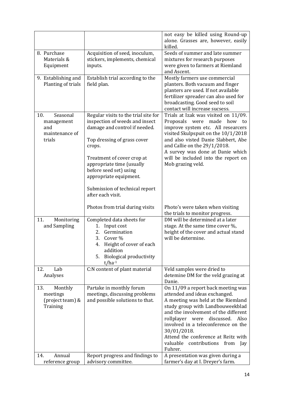|                                                                  |                                                                                                                                                                                         | not easy be killed using Round-up<br>alone. Grasses are, however, easily<br>killed.                                                                                                                                                                                                                                                                                             |
|------------------------------------------------------------------|-----------------------------------------------------------------------------------------------------------------------------------------------------------------------------------------|---------------------------------------------------------------------------------------------------------------------------------------------------------------------------------------------------------------------------------------------------------------------------------------------------------------------------------------------------------------------------------|
| 8. Purchase<br>Materials &<br>Equipment                          | Acquisition of seed, inoculum,<br>stickers, implements, chemical<br>inputs.                                                                                                             | Seeds of summer and late summer<br>mixtures for research purposes<br>were given to farmers at Riemland<br>and Ascent.                                                                                                                                                                                                                                                           |
| 9. Establishing and<br>Planting of trials                        | Establish trial according to the<br>field plan.                                                                                                                                         | Mostly farmers use commercial<br>planters. Both vacuum and finger<br>planters are used. If not available<br>fertilizer spreader can also used for<br>broadcasting. Good seed to soil<br>contact will increase sucsess.                                                                                                                                                          |
| 10.<br>Seasonal<br>management<br>and<br>maintenance of<br>trials | Regular visits to the trial site for<br>inspection of weeds and insect<br>damage and control if needed.<br>Top dressing of grass cover<br>crops.                                        | Trials at Izak was visited on 11/09.<br>Proposals<br>made<br>were<br>how<br>to<br>improve system etc. All researcers<br>visited Skulpspuit on the 10/1/2018<br>and also visted Danie Slabbert, Abe<br>and Callie on the $29/1/2018$ .<br>A survey was done at Danie which                                                                                                       |
|                                                                  | Treatment of cover crop at<br>appropriate time (usually<br>before seed set) using<br>appropriate equipment.                                                                             | will be included into the report on<br>Mob grazing veld.                                                                                                                                                                                                                                                                                                                        |
|                                                                  | Submission of technical report<br>after each visit.                                                                                                                                     |                                                                                                                                                                                                                                                                                                                                                                                 |
|                                                                  | Photos from trial during visits                                                                                                                                                         | Photo's were taken when visiting<br>the trials to monitor progress.                                                                                                                                                                                                                                                                                                             |
| 11.<br>Monitoring<br>and Sampling                                | Completed data sheets for<br>Input cost<br>1.<br>Germination<br>2.<br>3.<br>Cover %<br>Height of cover of each<br>4.<br>addition<br><b>Biological productivity</b><br>5.<br>$t/ha^{-1}$ | DM will be determined at a later<br>stage. At the same time cover %,<br>height of the cover and actual stand<br>will be determine.                                                                                                                                                                                                                                              |
| 12.<br>Lab<br>Analyses                                           | C:N content of plant material                                                                                                                                                           | Veld samples were dried to<br>detemine DM for the veld grazing at<br>Danie.                                                                                                                                                                                                                                                                                                     |
| 13.<br>Monthly<br>meetings<br>(project team) &<br>Training       | Partake in monthly forum<br>meetings, discussing problems<br>and possible solutions to that.                                                                                            | On 11/09 a report back meeting was<br>attended and ideas exchanged.<br>A meeting was held at the Riemland<br>study group with Landbouweekblad<br>and the involvement of the different<br>rollplayer<br>were<br>discussed.<br>Also<br>involved in a teleconference on the<br>30/01/2018.<br>Attend the conference at Reitz with<br>valuable contributions from<br>Jay<br>Fuhrer. |
| Annual<br>14.<br>reference group                                 | Report progress and findings to<br>advisory committee.                                                                                                                                  | A presentation was given during a<br>farmer's day at I. Dreyer's farm.                                                                                                                                                                                                                                                                                                          |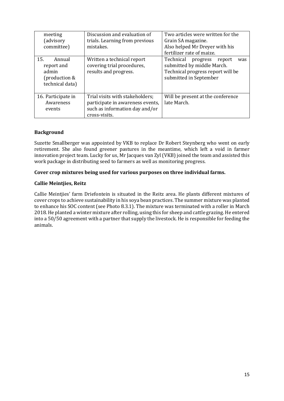| meeting<br>(advisory<br>committee)                                       | Discussion and evaluation of<br>trials. Learning from previous<br>mistakes.                                            | Two articles were written for the<br>Grain SA magazine.<br>Also helped Mr Dreyer with his<br>fertilizer rate of maize.              |
|--------------------------------------------------------------------------|------------------------------------------------------------------------------------------------------------------------|-------------------------------------------------------------------------------------------------------------------------------------|
| 15.<br>Annual<br>report and<br>admin<br>(production &<br>technical data) | Written a technical report<br>covering trial procedures,<br>results and progress.                                      | Technical<br>progress<br>report<br>was<br>submitted by middle March.<br>Technical progress report will be<br>submitted in September |
| 16. Participate in<br>Awareness<br>events                                | Trial visits with stakeholders;<br>participate in awareness events,<br>such as information day and/or<br>cross-visits. | Will be present at the conference<br>late March.                                                                                    |

### **Background**

Suzette Smallberger was appointed by VKB to replace Dr Robert Steynberg who went on early retirement. She also found greener pastures in the meantime, which left a void in farmer innovation project team. Lucky for us, Mr Jacques van Zyl (VKB) joined the team and assisted this work package in distributing seed to farmers as well as monitoring progress.

### **Cover crop mixtures being used for various purposes on three individual farms.**

### **Callie Meintjies, Reitz**

Callie Meintjies' farm Driefontein is situated in the Reitz area. He plants different mixtures of cover crops to achieve sustainability in his soya bean practices. The summer mixture was planted to enhance his SOC content (see Photo 8.3.1). The mixture was terminated with a roller in March 2018. He planted a winter mixture after rolling, using this for sheep and cattle grazing. He entered into a 50/50 agreement with a partner that supply the livestock. He is responsible for feeding the animals.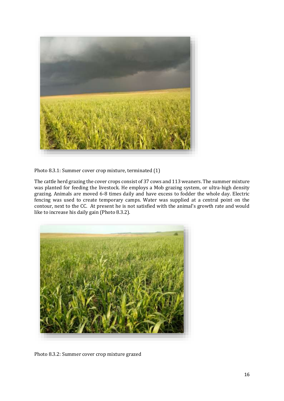

Photo 8.3.1: Summer cover crop mixture, terminated (1)

The cattle herd grazing the cover crops consist of 37 cows and 113 weaners. The summer mixture was planted for feeding the livestock. He employs a Mob grazing system, or ultra-high density grazing. Animals are moved 6-8 times daily and have excess to fodder the whole day. Electric fencing was used to create temporary camps. Water was supplied at a central point on the contour, next to the CC. At present he is not satisfied with the animal's growth rate and would like to increase his daily gain (Photo 8.3.2).



Photo 8.3.2: Summer cover crop mixture grazed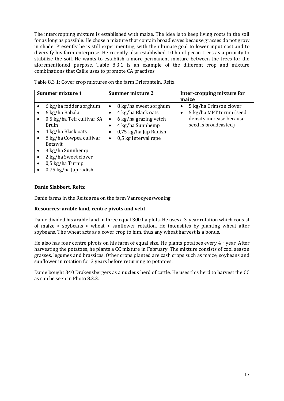The intercropping mixture is established with maize. The idea is to keep living roots in the soil for as long as possible. He chose a mixture that contain broadleaves because grasses do not grow in shade. Presently he is still experimenting, with the ultimate goal to lower input cost and to diversify his farm enterprise. He recently also established 10 ha of pecan trees as a priority to stabilize the soil. He wants to establish a more permanent mixture between the trees for the aforementioned purpose. Table 8.3.1 is an example of the different crop and mixture combinations that Callie uses to promote CA practises.

| Summer mixture 1                                                                                                                                                                                                                            | Summer mixture 2                                                                                                                                                         | Inter-cropping mixture for<br>maize                                                                         |  |  |
|---------------------------------------------------------------------------------------------------------------------------------------------------------------------------------------------------------------------------------------------|--------------------------------------------------------------------------------------------------------------------------------------------------------------------------|-------------------------------------------------------------------------------------------------------------|--|--|
| 6 kg/ha fodder sorghum<br>6 kg/ha Babala<br>0,5 kg/ha Teff cultivar SA<br>Bruin<br>4 kg/ha Black oats<br>8 kg/ha Cowpea cultivar<br><b>Betswit</b><br>3 kg/ha Sunnhemp<br>2 kg/ha Sweet clover<br>0,5 kg/ha Turnip<br>0,75 kg/ha Jap radish | 8 kg/ha sweet sorghum<br>$\bullet$<br>4 kg/ha Black oats<br>6 kg/ha grazing vetch<br>٠<br>4 kg/ha Sunnhemp<br>0,75 kg/ha Jap Radish<br>0,5 kg Interval rape<br>$\bullet$ | 5 kg/ha Crimson clover<br>٠<br>5 kg/ha MPT turnip (seed<br>density increase because<br>seed is broadcasted) |  |  |

Table 8.3 1: Cover crop mixtures on the farm Driefontein, Reitz

### **Danie Slabbert, Reitz**

Danie farms in the Reitz area on the farm Vanrooyenswoning.

### **Resources: arable land, centre pivots and veld**

Danie divided his arable land in three equal 300 ha plots. He uses a 3-year rotation which consist of maize > soybeans > wheat > sunflower rotation. He intensifies by planting wheat after soybeans. The wheat acts as a cover crop to him, thus any wheat harvest is a bonus.

He also has four centre pivots on his farm of equal size. He plants potatoes every 4th year. After harvesting the potatoes, he plants a CC mixture in February. The mixture consists of cool season grasses, legumes and brassicas. Other crops planted are cash crops such as maize, soybeans and sunflower in rotation for 3 years before returning to potatoes.

Danie bought 340 Drakensbergers as a nucleus herd of cattle. He uses this herd to harvest the CC as can be seen in Photo 8.3.3.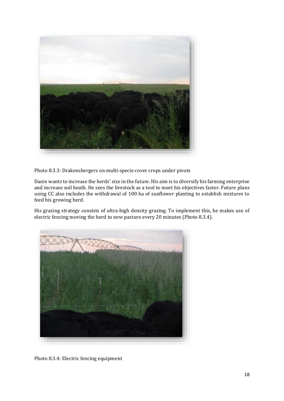

Photo 8.3.3: Drakensbergers on multi-specie cover crops under pivots

Danie wants to increase the herds' size in the future. His aim is to diversify his farming enterprise and increase soil heath. He sees the livestock as a tool to meet his objectives faster. Future plans using CC also includes the withdrawal of 100 ha of sunflower planting to establish mixtures to feed his growing herd.

His grazing strategy consists of ultra-high density grazing. To implement this, he makes use of electric fencing moving the herd to new pasture every 20 minutes (Photo 8.3.4).



Photo 8.3.4: Electric fencing equipment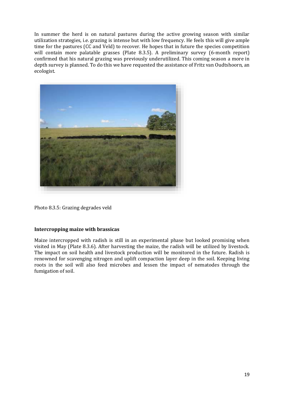In summer the herd is on natural pastures during the active growing season with similar utilization strategies, i.e. grazing is intense but with low frequency. He feels this will give ample time for the pastures (CC and Veld) to recover. He hopes that in future the species competition will contain more palatable grasses (Plate 8.3.5). A preliminary survey (6-month report) confirmed that his natural grazing was previously underutilized. This coming season a more in depth survey is planned. To do this we have requested the assistance of Fritz van Oudtshoorn, an ecologist.



Photo 8.3.5: Grazing degrades veld

### **Intercropping maize with brassicas**

Maize intercropped with radish is still in an experimental phase but looked promising when visited in May (Plate 8.3.6). After harvesting the maize, the radish will be utilized by livestock. The impact on soil health and livestock production will be monitored in the future. Radish is renowned for scavenging nitrogen and uplift compaction layer deep in the soil. Keeping living roots in the soil will also feed microbes and lessen the impact of nematodes through the fumigation of soil.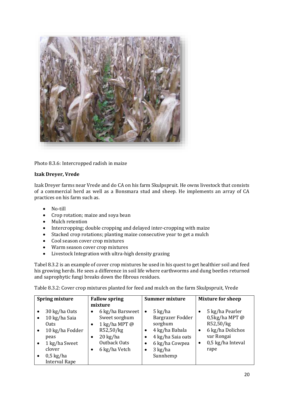

Photo 8.3.6: Intercropped radish in maize

### **Izak Dreyer, Vrede**

Izak Dreyer farms near Vrede and do CA on his farm Skulpspruit. He owns livestock that consists of a commercial herd as well as a Bonsmara stud and sheep. He implements an array of CA practices on his farm such as.

- No-till
- Crop rotation; maize and soya bean
- Mulch retention
- Intercropping; double cropping and delayed inter-cropping with maize
- Stacked crop rotations; planting maize consecutive year to get a mulch
- Cool season cover crop mixtures
- Warm season cover crop mixtures
- Livestock Integration with ultra-high density grazing

Tabel 8.3.2 is an example of cover crop mixtures he used in his quest to get healthier soil and feed his growing herds. He sees a difference in soil life where earthworms and dung beetles returned and saprophytic fungi breaks down the fibrous residues.

Table 8.3.2: Cover crop mixtures planted for feed and mulch on the farm Skulpspruit, Vrede

|           | <b>Spring mixture</b> | <b>Fallow spring</b> |                    | <b>Summer mixture</b> |                   |           | <b>Mixture for sheep</b> |
|-----------|-----------------------|----------------------|--------------------|-----------------------|-------------------|-----------|--------------------------|
|           |                       |                      | mixture            |                       |                   |           |                          |
|           | 30 kg/ha Oats         | $\bullet$            | 6 kg/ha Barsweet   | $\bullet$             | $5 \text{ kg/ha}$ | $\bullet$ | 5 kg/ha Pearler          |
| $\bullet$ | 10 kg/ha Saia         |                      | Sweet sorghum      |                       | Bargrazer Fodder  |           | $0,5kg/ha MPT$ @         |
|           | 0ats                  | $\bullet$            | 1 kg/ha MPT $@$    |                       | sorghum           |           | R52,50/kg                |
|           | 10 kg/ha Fodder       |                      | R52,50/kg          | $\bullet$             | 4 kg/ha Babala    | $\bullet$ | 6 kg/ha Dolichos         |
|           | peas                  | ٠                    | $20 \text{ kg/ha}$ | $\bullet$             | 4 kg/ha Saia oats |           | var Rongai               |
| $\bullet$ | 1 kg/ha Sweet         |                      | Outback Oats       | ٠                     | 6 kg/ha Cowpea    | $\bullet$ | 0,5 kg/ha Inteval        |
|           | clover                | ٠                    | 6 kg/ha Vetch      | ٠                     | $3$ kg/ha         |           | rape                     |
| $\bullet$ | $0,5$ kg/ha           |                      |                    |                       | Sunnhemp          |           |                          |
|           | <b>Interval Rape</b>  |                      |                    |                       |                   |           |                          |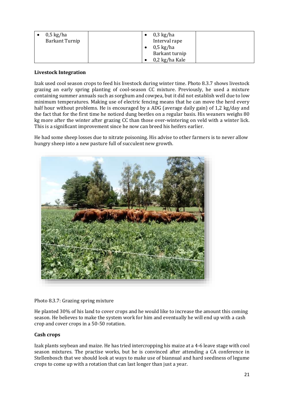| $0.5 \text{ kg/ha}$<br><b>Barkant Turnip</b> | $0,3$ kg/ha<br>Interval rape          |
|----------------------------------------------|---------------------------------------|
|                                              | $0.5 \text{ kg/ha}$<br>Barkant turnip |
|                                              | 0,2 kg/ha Kale                        |

### **Livestock Integration**

Izak used cool season crops to feed his livestock during winter time. Photo 8.3.7 shows livestock grazing an early spring planting of cool-season CC mixture. Previously, he used a mixture containing summer annuals such as sorghum and cowpea, but it did not establish well due to low minimum temperatures. Making use of electric fencing means that he can move the herd every half hour without problems. He is encouraged by a ADG (average daily gain) of 1,2 kg/day and the fact that for the first time he noticed dung beetles on a regular basis. His weaners weighs 80 kg more after the winter after grazing CC than those over-wintering on veld with a winter lick. This is a significant improvement since he now can breed his heifers earlier.

He had some sheep losses due to nitrate poisoning. His advise to other farmers is to never allow hungry sheep into a new pasture full of succulent new growth.



### Photo 8.3.7: Grazing spring mixture

He planted 30% of his land to cover crops and he would like to increase the amount this coming season. He believes to make the system work for him and eventually he will end up with a cash crop and cover crops in a 50-50 rotation.

### **Cash crops**

Izak plants soybean and maize. He has tried intercropping his maize at a 4-6 leave stage with cool season mixtures. The practise works, but he is convinced after attending a CA conference in Stellenbosch that we should look at ways to make use of biannual and hard seediness of legume crops to come up with a rotation that can last longer than just a year.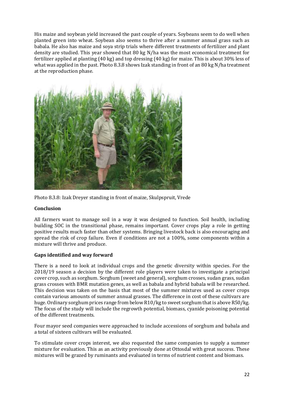His maize and soybean yield increased the past couple of years. Soybeans seem to do well when planted green into wheat. Soybean also seems to thrive after a summer annual grass such as babala. He also has maize and soya strip trials where different treatments of fertilizer and plant density are studied. This year showed that 80 kg N/ha was the most economical treatment for fertilizer applied at planting (40 kg) and top dressing (40 kg) for maize. This is about 30% less of what was applied in the past. Photo 8.3.8 shows Izak standing in front of an 80 kg N/ha treatment at the reproduction phase.



Photo 8.3.8: Izak Dreyer standing in front of maize, Skulpspruit, Vrede

### **Conclusion**

All farmers want to manage soil in a way it was designed to function. Soil health, including building SOC in the transitional phase, remains important. Cover crops play a role in getting positive results much faster than other systems. Bringing livestock back is also encouraging and spread the risk of crop failure. Even if conditions are not a 100%, some components within a mixture will thrive and produce.

### **Gaps identified and way forward**

There is a need to look at individual crops and the genetic diversity within species. For the 2018/19 season a decision by the different role players were taken to investigate a principal cover crop, such as sorghum. Sorghum (sweet and general), sorghum crosses, sudan grass, sudan grass crosses with BMR mutation genes, as well as babala and hybrid babala will be researched. This decision was taken on the basis that most of the summer mixtures used as cover crops contain various amounts of summer annual grasses. The difference in cost of these cultivars are huge. Ordinary sorghum prices range from below R10/kg to sweet sorghum that is above R50/kg. The focus of the study will include the regrowth potential, biomass, cyanide poisoning potential of the different treatments.

Four mayor seed companies were approached to include accessions of sorghum and babala and a total of sixteen cultivars will be evaluated.

To stimulate cover crops interest, we also requested the same companies to supply a summer mixture for evaluation. This as an activity previously done at Ottosdal with great success. These mixtures will be grazed by ruminants and evaluated in terms of nutrient content and biomass.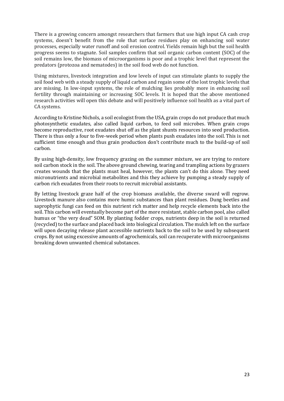There is a growing concern amongst researchers that farmers that use high input CA cash crop systems, doesn't benefit from the role that surface residues play on enhancing soil water processes, especially water runoff and soil erosion control. Yields remain high but the soil health progress seems to stagnate. Soil samples confirm that soil organic carbon content (SOC) of the soil remains low, the biomass of microorganisms is poor and a trophic level that represent the predators (protozoa and nematodes) in the soil food web do not function.

Using mixtures, livestock integration and low levels of input can stimulate plants to supply the soil food web with a steady supply of liquid carbon and regain some of the lost trophic levels that are missing. In low-input systems, the role of mulching lies probably more in enhancing soil fertility through maintaining or increasing SOC levels. It is hoped that the above mentioned research activities will open this debate and will positively influence soil health as a vital part of CA systems.

According to Kristine Nichols, a soil ecologist from the USA, grain crops do not produce that much photosynthetic exudates, also called liquid carbon, to feed soil microbes. When grain crops become reproductive, root exudates shut off as the plant shunts resources into seed production. There is thus only a four to five-week period when plants push exudates into the soil. This is not sufficient time enough and thus grain production don't contribute much to the build-up of soil carbon.

By using high-density, low frequency grazing on the summer mixture, we are trying to restore soil carbon stock in the soil. The above ground chewing, tearing and trampling actions by grazers creates wounds that the plants must heal, however, the plants can't do this alone. They need micronutrients and microbial metabolites and this they achieve by pumping a steady supply of carbon rich exudates from their roots to recruit microbial assistants.

By letting livestock graze half of the crop biomass available, the diverse sward will regrow. Livestock manure also contains more humic substances than plant residues. Dung beetles and saprophytic fungi can feed on this nutrient rich matter and help recycle elements back into the soil. This carbon will eventually become part of the more resistant, stable carbon pool, also called humus or "the very dead" SOM. By planting fodder crops, nutrients deep in the soil is returned (recycled) to the surface and placed back into biological circulation. The mulch left on the surface will upon decaying release plant accessible nutrients back to the soil to be used by subsequent crops. By not using excessive amounts of agrochemicals, soil can recuperate with microorganisms breaking down unwanted chemical substances.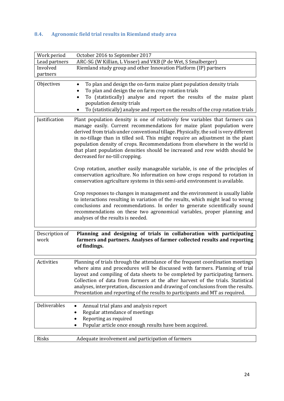### <span id="page-23-0"></span>**8.4. Agronomic field trial results in Riemland study area**

| Work period            | October 2016 to September 2017                                                                                                                                                                                                                                                                                                                                                                                                                                                                                                                                                                                                                                                                                                                                                          |
|------------------------|-----------------------------------------------------------------------------------------------------------------------------------------------------------------------------------------------------------------------------------------------------------------------------------------------------------------------------------------------------------------------------------------------------------------------------------------------------------------------------------------------------------------------------------------------------------------------------------------------------------------------------------------------------------------------------------------------------------------------------------------------------------------------------------------|
| Lead partners          | ARC-SG (W Killian, L Visser) and VKB (P de Wet, S Smalberger)                                                                                                                                                                                                                                                                                                                                                                                                                                                                                                                                                                                                                                                                                                                           |
| Involved               | Riemland study group and other Innovation Platform (IP) partners                                                                                                                                                                                                                                                                                                                                                                                                                                                                                                                                                                                                                                                                                                                        |
| partners               |                                                                                                                                                                                                                                                                                                                                                                                                                                                                                                                                                                                                                                                                                                                                                                                         |
| Objectives             | To plan and design the on-farm maize plant population density trials<br>To plan and design the on farm crop rotation trials<br>To (statistically) analyse and report the results of the maize plant<br>population density trials<br>To (statistically) analyse and report on the results of the crop rotation trials                                                                                                                                                                                                                                                                                                                                                                                                                                                                    |
| Justification          | Plant population density is one of relatively few variables that farmers can<br>manage easily. Current recommendations for maize plant population were<br>derived from trials under conventional tillage. Physically, the soil is very different<br>in no-tillage than in tilled soil. This might require an adjustment in the plant<br>population density of crops. Recommendations from elsewhere in the world is<br>that plant population densities should be increased and row width should be<br>decreased for no-till cropping.<br>Crop rotation, another easily manageable variable, is one of the principles of<br>conservation agriculture. No information on how crops respond to rotation in<br>conservation agriculture systems in this semi-arid environment is available. |
|                        | Crop responses to changes in management and the environment is usually liable<br>to interactions resulting in variation of the results, which might lead to wrong<br>conclusions and recommendations. In order to generate scientifically sound<br>recommendations on these two agronomical variables, proper planning and<br>analyses of the results is needed.                                                                                                                                                                                                                                                                                                                                                                                                                        |
| Description of<br>work | Planning and designing of trials in collaboration with participating<br>farmers and partners. Analyses of farmer collected results and reporting<br>of findings.                                                                                                                                                                                                                                                                                                                                                                                                                                                                                                                                                                                                                        |
| Activities             | Planning of trials through the attendance of the frequent coordination meetings<br>where aims and procedures will be discussed with farmers. Planning of trial<br>layout and compiling of data sheets to be completed by participating farmers.<br>Collection of data from farmers at the after harvest of the trials. Statistical<br>analyses, interpretation, discussion and drawing of conclusions from the results.<br>Presentation and reporting of the results to participants and MT as required.                                                                                                                                                                                                                                                                                |
| Deliverables           | Annual trial plans and analysis report<br>Regular attendance of meetings<br>$\bullet$<br>Reporting as required<br>Popular article once enough results have been acquired.                                                                                                                                                                                                                                                                                                                                                                                                                                                                                                                                                                                                               |
|                        |                                                                                                                                                                                                                                                                                                                                                                                                                                                                                                                                                                                                                                                                                                                                                                                         |
| Risks                  | Adequate involvement and participation of farmers                                                                                                                                                                                                                                                                                                                                                                                                                                                                                                                                                                                                                                                                                                                                       |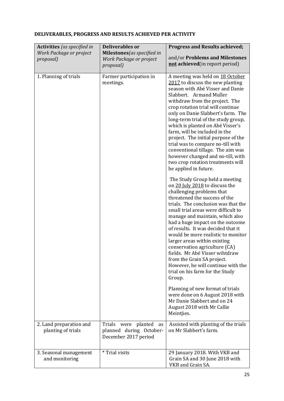|  | DELIVERABLES, PROGRESS AND RESULTS ACHIEVED PER ACTIVITY |  |
|--|----------------------------------------------------------|--|
|  |                                                          |  |

| <b>Activities</b> (as specified in            | <b>Deliverables or</b>                                                       | <b>Progress and Results achieved;</b>                                                                                                                                                                                                                                                                                                                                                                                                                                                                                                                                               |  |
|-----------------------------------------------|------------------------------------------------------------------------------|-------------------------------------------------------------------------------------------------------------------------------------------------------------------------------------------------------------------------------------------------------------------------------------------------------------------------------------------------------------------------------------------------------------------------------------------------------------------------------------------------------------------------------------------------------------------------------------|--|
| Work Package or project<br>proposal)          | Milestones(as specified in<br>Work Package or project<br>proposal)           | and/or Problems and Milestones<br>not achieved (in report period)                                                                                                                                                                                                                                                                                                                                                                                                                                                                                                                   |  |
| 1. Planning of trials                         | Farmer participation in<br>meetings.                                         | A meeting was held on 18 October<br>2017 to discuss the new planting<br>season with Abé Visser and Danie<br>Slabbert. Armand Muller<br>withdraw from the project. The<br>crop rotation trial will continue<br>only on Danie Slabbert's farm. The<br>long-term trial of the study group,<br>which is planted on Abé Visser's<br>farm, will be included in the<br>project. The initial purpose of the<br>trial was to compare no-till with<br>conventional tillage. The aim was<br>however changed and no-till, with<br>two crop rotation treatments will<br>be applied in future.    |  |
|                                               |                                                                              | The Study Group held a meeting<br>on 20 July 2018 to discuss the<br>challenging problems that<br>threatened the success of the<br>trials. The conclusion was that the<br>small trial areas were difficult to<br>manage and maintain, which also<br>had a huge impact on the outcome<br>of results. It was decided that it<br>would be more realistic to monitor<br>larger areas within existing<br>conservation agriculture (CA)<br>fields. Mr Abé Visser wihtdraw<br>from the Grain SA project.<br>However, he will continue with the<br>trial on his farm for the Study<br>Group. |  |
|                                               |                                                                              | Planning of new format of trials<br>were done on 6 August 2018 with<br>Mr Danie Slabbert and on 24<br>August 2018 with Mr Callie<br>Meintjies.                                                                                                                                                                                                                                                                                                                                                                                                                                      |  |
| 2. Land preparation and<br>planting of trials | Trials were planted<br>as<br>planned during October-<br>December 2017 period | Assisted with planting of the trials<br>on Mr Slabbert's farm.                                                                                                                                                                                                                                                                                                                                                                                                                                                                                                                      |  |
| 3. Seasonal management<br>and monitoring      | * Trial visits                                                               | 29 January 2018. With VKB and<br>Grain SA and 30 June 2018 with<br>VKB and Grain SA.                                                                                                                                                                                                                                                                                                                                                                                                                                                                                                |  |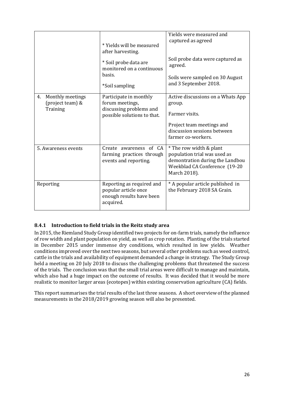|                                                        | * Yields will be measured<br>after harvesting.<br>* Soil probe data are<br>monitored on a continuous<br>basis. | Yields were measured and<br>captured as agreed<br>Soil probe data were captured as<br>agreed.<br>Soils were sampled on 30 August            |
|--------------------------------------------------------|----------------------------------------------------------------------------------------------------------------|---------------------------------------------------------------------------------------------------------------------------------------------|
|                                                        | *Soil sampling                                                                                                 | and 3 September 2018.                                                                                                                       |
| Monthly meetings<br>4.<br>(project team) &<br>Training | Participate in monthly<br>forum meetings,<br>discussing problems and<br>possible solutions to that.            | Active discussions on a Whats App<br>group.<br>Farmer visits.<br>Project team meetings and<br>discussion sessions between                   |
|                                                        |                                                                                                                | farmer co-workers.                                                                                                                          |
| 5. Awareness events                                    | Create awareness of CA<br>farming practices through<br>events and reporting.                                   | * The row width & plant<br>population trial was used as<br>demontration during the Landbou<br>Weekblad CA Conference (19-20<br>March 2018). |
| Reporting                                              | Reporting as required and<br>popular article once<br>enough results have been<br>acquired.                     | * A popular article published in<br>the February 2018 SA Grain.                                                                             |

### <span id="page-25-0"></span>**8.4.1 Introduction to field trials in the Reitz study area**

In 2015, the Riemland Study Group identified two projects for on-farm trials, namely the influence of row width and plant population on yield, as well as crop rotation. Planting of the trials started in December 2015 under immense dry conditions, which resulted in low yields. Weather conditions improved over the next two seasons, but several other problems such as weed control, cattle in the trials and availability of equipment demanded a change in strategy. The Study Group held a meeting on 20 July 2018 to discuss the challenging problems that threatened the success of the trials. The conclusion was that the small trial areas were difficult to manage and maintain, which also had a huge impact on the outcome of results. It was decided that it would be more realistic to monitor larger areas (ecotopes) within existing conservation agriculture (CA) fields.

This report summarises the trial results of the last three seasons. A short overview of the planned measurements in the 2018/2019 growing season will also be presented.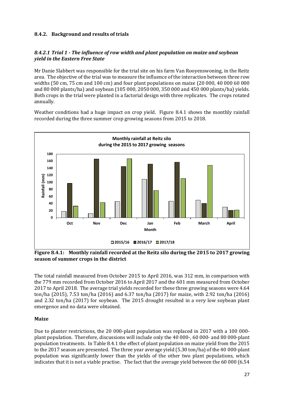### <span id="page-26-0"></span>**8.4.2. Background and results of trials**

### *8.4.2.1 Trial 1 - The influence of row width and plant population on maize and soybean yield in the Eastern Free State*

Mr Danie Slabbert was responsible for the trial site on his farm Van Rooyenswoning, in the Reitz area. The objective of the trial was to measure the influence of the interaction between three row widths (50 cm, 75 cm and 100 cm) and four plant populations on maize (20 000, 40 000 60 000 and 80 000 plants/ha) and soybean (105 000, 2050 000, 350 000 and 450 000 plants/ha) yields. Both crops in the trial were planted in a factorial design with three replicates. The crops rotated annually.

Weather conditions had a huge impact on crop yield. Figure 8.4.1 shows the monthly rainfall recorded during the three summer crop growing seasons from 2015 to 2018.



**Figure 8.4.1: Monthly rainfall recorded at the Reitz silo during the 2015 to 2017 growing season of summer crops in the district**

The total rainfall measured from October 2015 to April 2016, was 312 mm, in comparison with the 779 mm recorded from October 2016 to April 2017 and the 601 mm measured from October 2017 to April 2018. The average trial yields recorded for these three growing seasons were 4.64 ton/ha (2015), 7.53 ton/ha (2016) and 6.37 ton/ha (2017) for maize, with 2.92 ton/ha (2016) and 2.32 ton/ha (2017) for soybean. The 2015 drought resulted in a very low soybean plant emergence and no data were obtained.

### **Maize**

Due to planter restrictions, the 20 000-plant population was replaced in 2017 with a 100 000 plant population. Therefore, discussions will include only the 40 000-, 60 000- and 80 000-plant population treatments. In Table 8.4.1 the effect of plant population on maize yield from the 2015 to the 2017 season are presented. The three year average yield (5.30 ton/ha) of the 40 000-plant population was significantly lower than the yields of the other two plant populations, which indicates that it is not a viable practise. The fact that the average yield between the 60 000 (6.54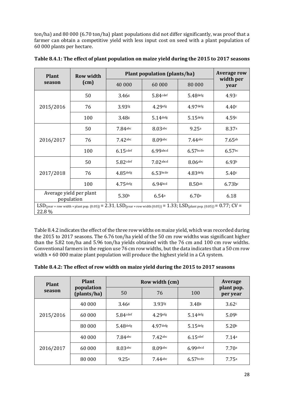ton/ha) and 80 000 (6.70 ton/ha) plant populations did not differ significantly, was proof that a farmer can obtain a competitive yield with less input cost on seed with a plant population of 60 000 plants per hectare.

| <b>Plant</b> | <b>Row width</b>                                                                                                                                            | <b>Plant population (plants/ha)</b> | <b>Average row</b>  |                    |                   |
|--------------|-------------------------------------------------------------------------------------------------------------------------------------------------------------|-------------------------------------|---------------------|--------------------|-------------------|
| season       | (cm)                                                                                                                                                        | 40 000                              | 60 000              | 80 000             | width per<br>year |
|              | 50                                                                                                                                                          | 3.46 <sub>8</sub>                   | $5.84$ cdef         | $5.48$ defg        | 4.93c             |
| 2015/2016    | 76                                                                                                                                                          | $3.93$ fg                           | $4.29$ efg          | $4.97$ defg        | 4.40c             |
|              | 100                                                                                                                                                         | 3.48 <sub>8</sub>                   | $5.14$ defg         | $5.15$ defg        | 4.59c             |
| 2016/2017    | 50                                                                                                                                                          | $7.84$ abc                          | $8.03$ abc          | 9.25a              | 8.37a             |
|              | 76                                                                                                                                                          | $7.42$ abc                          | $8.09$ abc          | $7.44$ abc         | 7.65ab            |
|              | 100                                                                                                                                                         | $6.15$ cdef                         | 6.99abcd            | $6.57$ bcde        | $6.57$ bc         |
|              | 50                                                                                                                                                          | $5.82$ cdef                         | $7.02$ abcd         | 8.06abc            | 6.93 <sup>b</sup> |
| 2017/2018    | 76                                                                                                                                                          | $4.85$ defg                         | $6.53$ bcde         | $4.83$ defg        | 5.40c             |
|              | 100                                                                                                                                                         | $4.75$ defg                         | 6.94 <sub>bcd</sub> | 8.50 <sub>ab</sub> | $6.73b$ c         |
|              | Average yield per plant<br>population                                                                                                                       | 5.30 <sup>b</sup>                   | 6.54a               | 6.70a              | 6.18              |
| 22.8 %       | $LSD_{(year \times row width \times plant pop. (0.05))} = 2.31$ ; $LSD_{(year \times row width (0.05))} = 1.33$ ; $LSD_{(plant pop. (0.05))} = 0.77$ ; CV = |                                     |                     |                    |                   |

Table 8.4.2 indicates the effect of the three row widths on maize yield, which was recorded during the 2015 to 2017 seasons. The 6.76 ton/ha yield of the 50 cm row widths was significant higher than the 5.82 ton/ha and 5.96 ton/ha yields obtained with the 76 cm and 100 cm row widths. Conventional farmers in the region use 76 cm row widths, but the data indicates that a 50 cm row width × 60 000 maize plant population will produce the highest yield in a CA system.

| <b>Plant</b> | <b>Plant</b>              | Row width (cm)    | Average            |                   |                        |
|--------------|---------------------------|-------------------|--------------------|-------------------|------------------------|
| season       | population<br>(plants/ha) | 50                | 76                 | 100               | plant pop.<br>per year |
|              | 40 000                    | 3.46 <sub>g</sub> | 3.93 <sup>fg</sup> | 3.48 <sub>g</sub> | 3.62c                  |
| 2015/2016    | 60 000                    | 5.84cdef          |                    | 5.14defg          | 5.09 <sup>b</sup>      |
|              | 80 000                    | $5.48$ defg       | $4.97$ defg        | $5.15$ defg       | 5.20 <sup>b</sup>      |
|              | 40 000                    | $7.84$ abc        | $7.42$ abc         | $6.15$ cdef       | 7.14a                  |
| 2016/2017    | 60 000                    | 8.03abc           | 8.09abc            | 6.99abcd          | 7.70a                  |
|              | 80 000                    | 9.25a             | 7.44abc            | $6.57$ bcde       | 7.75a                  |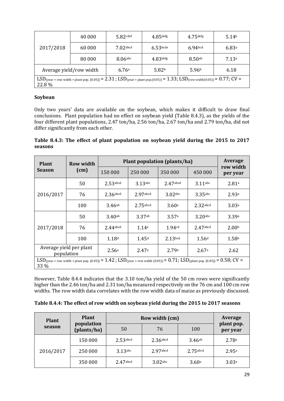| 2017/2018                                                                                                                                  | 40 000                  | $5.82$ cdef | $4.85$ defg       | $4.75$ defg           | 5.14 <sup>b</sup> |  |  |
|--------------------------------------------------------------------------------------------------------------------------------------------|-------------------------|-------------|-------------------|-----------------------|-------------------|--|--|
|                                                                                                                                            | $7.02$ abcd<br>60 000   |             | $6.53$ bcde       | $6.94$ <sub>bcd</sub> | 6.83a             |  |  |
|                                                                                                                                            | 80 000                  | $8.06$ abc  | $4.83$ defg       | 8.50 <sub>ab</sub>    | 7.13a             |  |  |
|                                                                                                                                            | Average yield/row width | 6.76a       | 5.82 <sup>b</sup> | 5.96 <sup>b</sup>     | 6.18              |  |  |
| $LSD$ (year × row width × plant pop. (0.05)) = 2.31; $LSD$ (year × plant pop.(0.05)) = 1.33; $LSD$ (row width(0.05)) = 0.77; CV =<br>22.8% |                         |             |                   |                       |                   |  |  |

### **Soybean**

Only two years' data are available on the soybean, which makes it difficult to draw final conclusions. Plant population had no effect on soybean yield (Table 8.4.3), as the yields of the four different plant populations, 2.47 ton/ha, 2.56 ton/ha, 2.67 ton/ha and 2.79 ton/ha, did not differ significantly from each other.

**Table 8.4.3: The effect of plant population on soybean yield during the 2015 to 2017 seasons**

| <b>Plant</b>                                                                                                                                                          | <b>Row width</b>                      | Plant population (plants/ha) | Average           |                     |                   |                       |  |
|-----------------------------------------------------------------------------------------------------------------------------------------------------------------------|---------------------------------------|------------------------------|-------------------|---------------------|-------------------|-----------------------|--|
| <b>Season</b>                                                                                                                                                         | (cm)                                  | 150 000                      | 250 000           | 350 000             | 450 000           | row width<br>per year |  |
| 2016/2017                                                                                                                                                             | 50                                    | $2.53$ abcd                  | $3.13$ abc        | $2.47$ abcd         | $3.11$ abc        | 2.81a                 |  |
|                                                                                                                                                                       | 76                                    | $2.36$ abcd                  | $2.97$ abcd       | $3.02$ abc          | $3.35$ abc        | 2.93a                 |  |
|                                                                                                                                                                       | 100                                   | 3.46ab                       | $2.75$ abcd       | 3.60a               | $2.32$ abcd       | 3.03a                 |  |
|                                                                                                                                                                       | 50                                    | $3.40$ ab                    | 3.37ab            | 3.57a               | $3.20$ abc        | 3.39a                 |  |
| 2017/2018                                                                                                                                                             | 76                                    | $2.44$ abcd                  | 1.14 <sup>e</sup> | 1.94 <sub>cd</sub>  | $2.47$ abcd       | 2.00 <sup>b</sup>     |  |
|                                                                                                                                                                       | 100                                   | 1.18 <sup>d</sup>            | 1.45 <sup>d</sup> | 2.13 <sub>bcd</sub> | 1.56 <sup>d</sup> | 1.58 <sup>b</sup>     |  |
|                                                                                                                                                                       | Average yield per plant<br>population | 2.56a                        | 2.47a             | 2.79a               | 2.67a             | 2.62                  |  |
| $LSD_{(year \times row width \times plant pop. (0.05))} = 1.42$ ; $LSD_{(year \times row width (0.05))} = 0.71$ ; $LSD_{(plant pop. (0.05))} = 0.58$ ; $CV =$<br>33 % |                                       |                              |                   |                     |                   |                       |  |

However, Table 8.4.4 indicates that the 3.10 ton/ha yield of the 50 cm rows were significantly higher than the 2.46 ton/ha and 2.31 ton/ha measured respectively on the 76 cm and 100 cm row widths. The row width data correlates with the row width data of maize as previously discussed.

| Table 8.4.4: The effect of row width on soybean yield during the 2015 to 2017 seasons |  |  |
|---------------------------------------------------------------------------------------|--|--|
|                                                                                       |  |  |

| <b>Plant</b> | <b>Plant</b>              | Row width (cm) | Average     |             |                        |
|--------------|---------------------------|----------------|-------------|-------------|------------------------|
| season       | population<br>(plants/ha) | 50             | 76          | 100         | plant pop.<br>per year |
| 2016/2017    | 150 000                   | $2.53$ abcd    | $2.36$ abcd | 3.46ab      | 2.78a                  |
|              | 250 000                   | 3.13abc        | $2.97$ abcd | $2.75$ abcd | 2.95a                  |
|              | 350 000                   | $2.47$ abcd    | $3.02$ abc  | 3.60a       | 3.03a                  |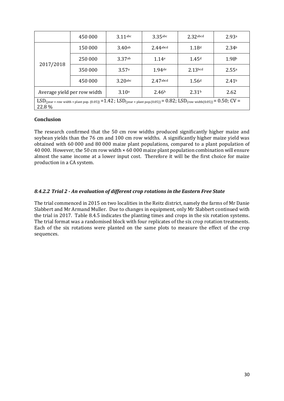|                                                                                                                                                                        | 450 000 | $3.11$ abc | $3.35$ abc        | $2.32$ abcd       | 2.93a             |  |
|------------------------------------------------------------------------------------------------------------------------------------------------------------------------|---------|------------|-------------------|-------------------|-------------------|--|
|                                                                                                                                                                        | 150 000 | 3.40ab     | 2.44abcd          | 1.18d             | 2.34 <sup>b</sup> |  |
|                                                                                                                                                                        | 250 000 | 3.37ab     | 1.14e             | 1.45 <sup>d</sup> | 1.98 <sup>b</sup> |  |
| 2017/2018                                                                                                                                                              | 350 000 | 3.57a      | $1.94$ de         | $2.13$ bcd        | 2.55a             |  |
|                                                                                                                                                                        | 450 000 | $3.20$ abc | $2.47$ abcd       | 1.56 <sup>d</sup> | 2.41 <sup>b</sup> |  |
| 3.10 <sup>a</sup><br>Average yield per row width                                                                                                                       |         |            | 2.46 <sup>b</sup> | 2.31 <sup>b</sup> | 2.62              |  |
| $LSD_{(year \times row width \times plant pop. (0.05))} = 1.42$ ; $LSD_{(year \times plant pop. (0.05))} = 0.82$ ; $LSD_{(row width(0.05))} = 0.50$ ; $CV =$<br>22.8 % |         |            |                   |                   |                   |  |

### **Conclusion**

The research confirmed that the 50 cm row widths produced significantly higher maize and soybean yields than the 76 cm and 100 cm row widths. A significantly higher maize yield was obtained with 60 000 and 80 000 maize plant populations, compared to a plant population of 40 000. However, the 50 cm row width × 60 000 maize plant population combination will ensure almost the same income at a lower input cost. Therefore it will be the first choice for maize production in a CA system.

### *8.4.2.2 Trial 2 - An evaluation of different crop rotations in the Eastern Free State*

The trial commenced in 2015 on two localities in the Reitz district, namely the farms of Mr Danie Slabbert and Mr Armand Muller. Due to changes in equipment, only Mr Slabbert continued with the trial in 2017. Table 8.4.5 indicates the planting times and crops in the six rotation systems. The trial format was a randomised block with four replicates of the six crop rotation treatments. Each of the six rotations were planted on the same plots to measure the effect of the crop sequences.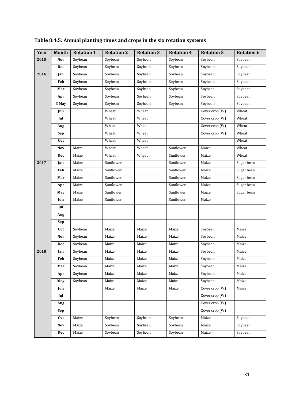| Year | Month      | <b>Rotation 1</b> | <b>Rotation 2</b> | <b>Rotation 3</b> | <b>Rotation 4</b> | <b>Rotation 5</b>                 | <b>Rotation 6</b> |
|------|------------|-------------------|-------------------|-------------------|-------------------|-----------------------------------|-------------------|
| 2015 | <b>Nov</b> | Soybean           | Soybean           | Soybean           | Soybean           | Soybean                           | Soybean           |
|      | Dec        | Soybean           | Soybean           | Soybean           | Soybean           | Soybean                           | Soybean           |
| 2016 | Jan        | Soybean           | Soybean           | Soybean           | Soybean           | Soybean                           | Soybean           |
|      | Feb        | Soybean           | Soybean           | Soybean           | Soybean           | Soybean                           | Soybean           |
|      | Mar        | Soybean           | Soybean           | Soybean           | Soybean           | Soybean                           | Soybean           |
|      | Apr        | Soybean           | Soybean           | Soybean           | Soybean           | Soybean                           | Soybean           |
|      | 3 May      | Soybean           | Soybean           | Soybean           | Soybean           | Soybean                           | Soybean           |
|      | Jun        |                   | Wheat             | Wheat             |                   | Cover crop (W)                    | Wheat             |
|      | Jul        |                   | Wheat             | Wheat             |                   | Cover crop (W)                    | Wheat             |
|      | Aug        |                   | Wheat             | Wheat             |                   | Cover crop (W)                    | Wheat             |
|      | Sep        |                   | Wheat             | Wheat             |                   | Cover $\overline{\text{crop}(W)}$ | Wheat             |
|      | Oct        |                   | Wheat             | Wheat             |                   |                                   | Wheat             |
|      | Nov        | Maize             | Wheat             | Wheat             | Sunflower         | Maize                             | Wheat             |
|      | Dec        | Maize             | Wheat             | Wheat             | Sunflower         | Maize                             | Wheat             |
| 2017 | Jan        | Maize             | Sunflower         |                   | Sunflower         | Maize                             | Sugar bean        |
|      | Feb        | Maize             | Sunflower         |                   | Sunflower         | Maize                             | Sugar bean        |
|      | Mar        | Maize             | Sunflower         |                   | Sunflower         | Maize                             | Sugar bean        |
|      | Apr        | Maize             | Sunflower         |                   | Sunflower         | Maize                             | Sugar bean        |
|      | May        | Maize             | Sunflower         |                   | Sunflower         | Maize                             | Sugar bean        |
|      | Jun        | Maize             | Sunflower         |                   | Sunflower         | Maize                             |                   |
|      | Jul        |                   |                   |                   |                   |                                   |                   |
|      | Aug        |                   |                   |                   |                   |                                   |                   |
|      | Sep        |                   |                   |                   |                   |                                   |                   |
|      | <b>Oct</b> | Soybean           | Maize             | Maize             | Maize             | Soybean                           | Maize             |
|      | Nov        | Soybean           | Maize             | Maize             | Maize             | Soybean                           | Maize             |
|      | Dec        | Soybean           | Maize             | Maize             | Maize             | Soybean                           | Maize             |
| 2018 | Jan        | Soybean           | Maize             | Maize             | Maize             | Soybean                           | Maize             |
|      | Feb        | Soybean           | Maize             | Maize             | Maize             | Soybean                           | Maize             |
|      | Mar        | Soybean           | Maize             | Maize             | Maize             | Soybean                           | Maize             |
|      | Apr        | Soybean           | Maize             | Maize             | Maize             | Soybean                           | Maize             |
|      | May        | Soybean           | Maize             | Maize             | Maize             | Soybean                           | Maize             |
|      | Jun        |                   | Maize             | Maize             | Maize             | Cover crop (W)                    | Maize             |
|      | Jul        |                   |                   |                   |                   | Cover crop (W)                    |                   |
|      | Aug        |                   |                   |                   |                   | Cover crop (W)                    |                   |
|      | Sep        |                   |                   |                   |                   | Cover crop (W)                    |                   |
|      | <b>Oct</b> | Maize             | Soybean           | Soybean           | Soybean           | Maize                             | Soybean           |
|      | Nov        | Maize             | Soybean           | Soybean           | Soybean           | Maize                             | Soybean           |
|      | Dec        | Maize             | Soybean           | Soybean           | Soybean           | Maize                             | Soybean           |

**Table 8.4.5: Annual planting times and crops in the six rotation systems**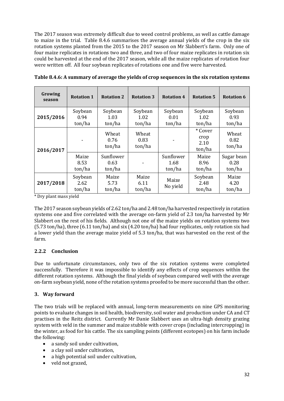The 2017 season was extremely difficult due to weed control problems, as well as cattle damage to maize in the trial. Table 8.4.6 summarises the average annual yields of the crop in the six rotation systems planted from the 2015 to the 2017 season on Mr Slabbert's farm. Only one of four maize replicates in rotations two and three, and two of four maize replicates in rotation six could be harvested at the end of the 2017 season, while all the maize replicates of rotation four were written off. All four soybean replicates of rotations one and five were harvested.

| Growing<br>season | <b>Rotation 1</b>         | <b>Rotation 2</b>           | <b>Rotation 3</b>         | <b>Rotation 4</b>           | <b>Rotation 5</b>                 | <b>Rotation 6</b>            |
|-------------------|---------------------------|-----------------------------|---------------------------|-----------------------------|-----------------------------------|------------------------------|
| 2015/2016         | Soybean<br>0.94<br>ton/ha | Soybean<br>1.03<br>ton/ha   | Soybean<br>1.02<br>ton/ha | Soybean<br>0.01<br>ton/ha   | Soybean<br>1.02<br>ton/ha         | Soybean<br>0.93<br>ton/ha    |
| 2016/2017         |                           | Wheat<br>0.76<br>ton/ha     | Wheat<br>0.83<br>ton/ha   |                             | * Cover<br>crop<br>2.10<br>ton/ha | Wheat<br>0.82<br>ton/ha      |
|                   | Maize<br>8.53<br>ton/ha   | Sunflower<br>0.63<br>ton/ha |                           | Sunflower<br>1.68<br>ton/ha | Maize<br>8.96<br>ton/ha           | Sugar bean<br>0.28<br>ton/ha |
| 2017/2018         | Soybean<br>2.62<br>ton/ha | Maize<br>5.73<br>ton/ha     | Maize<br>6.11<br>ton/ha   | Maize<br>No yield           | Soybean<br>2.48<br>ton/ha         | Maize<br>4.20<br>ton/ha      |

**Table 8.4.6: A summary of average the yields of crop sequences in the six rotation systems**

\* Dry plant mass yield

The 2017 season soybean yields of 2.62 ton/ha and 2.48 ton/ha harvested respectively in rotation systems one and five correlated with the average on-farm yield of 2.3 ton/ha harvested by Mr Slabbert on the rest of his fields. Although not one of the maize yields on rotation systems two (5.73 ton/ha), three (6.11 ton/ha) and six (4.20 ton/ha) had four replicates, only rotation six had a lower yield than the average maize yield of 5.3 ton/ha, that was harvested on the rest of the farm.

### **2.2.2 Conclusion**

Due to unfortunate circumstances, only two of the six rotation systems were completed successfully. Therefore it was impossible to identify any effects of crop sequences within the different rotation systems. Although the final yields of soybean compared well with the average on-farm soybean yield, none of the rotation systems proofed to be more successful than the other.

### **3. Way forward**

The two trials will be replaced with annual, long-term measurements on nine GPS monitoring points to evaluate changes in soil health, biodiversity, soil water and production under CA and CT practises in the Reitz district. Currently Mr Danie Slabbert uses an ultra-high density grazing system with veld in the summer and maize stubble with cover crops (including intercropping) in the winter, as food for his cattle. The six sampling points (different ecotopes) on his farm include the following:

- a sandy soil under cultivation,
- a clay soil under cultivation,
- a high potential soil under cultivation,
- veld not grazed,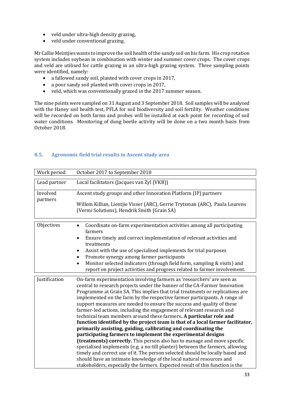- veld under ultra-high density grazing,
- veld under conventional grazing.

Mr Callie Meintjies wants to improve the soil health of the sandy soil on his farm. His crop rotation system includes soybean in combination with winter and summer cover crops. The cover crops and veld are utilised for cattle grazing in an ultra-high grazing system. Three sampling points were identified, namely:

- a fallowed sandy soil, planted with cover crops in 2017,
- a poor sandy soil planted with cover crops in 2017,
- veld, which was conventionally grazed in the 2017 summer season.

The nine points were sampled on 31 August and 3 September 2018. Soil samples will be analysed with the Haney soil health test, PFLA for soil biodiversity and soil fertility. Weather conditions will be recorded on both farms and probes will be installed at each point for recording of soil water conditions. Monitoring of dung beetle activity will be done on a two month basis from October 2018.

| Work period          | October 2017 to September 2018                                                                                                                                                                                                                                                                                                                                                                                                                                                                                                                                                                                                                                                                                                                                                                                                                                                                                                                                                                                                                                                                                                                                       |
|----------------------|----------------------------------------------------------------------------------------------------------------------------------------------------------------------------------------------------------------------------------------------------------------------------------------------------------------------------------------------------------------------------------------------------------------------------------------------------------------------------------------------------------------------------------------------------------------------------------------------------------------------------------------------------------------------------------------------------------------------------------------------------------------------------------------------------------------------------------------------------------------------------------------------------------------------------------------------------------------------------------------------------------------------------------------------------------------------------------------------------------------------------------------------------------------------|
| Lead partner         | Local facilitators (Jacques van Zyl (VKB))                                                                                                                                                                                                                                                                                                                                                                                                                                                                                                                                                                                                                                                                                                                                                                                                                                                                                                                                                                                                                                                                                                                           |
| Involved<br>partners | Ascent study groups and other Innovation Platform (IP) partners<br>Willem Killian, Lientjie Visser (ARC), Gerrie Trytsman (ARC), Paula Lourens<br>(Vermi Solutions), Hendrik Smith (Grain SA)                                                                                                                                                                                                                                                                                                                                                                                                                                                                                                                                                                                                                                                                                                                                                                                                                                                                                                                                                                        |
| Objectives           | Coordinate on-farm experimentation activities among all participating<br>$\bullet$<br>farmers<br>Ensure timely and correct implementation of relevant activities and<br>treatments<br>Assist with the use of specialised implements for trial purposes<br>Promote synergy among farmer participants<br>Monitor selected indicators (through field form, sampling & visits) and<br>report on project activities and progress related to farmer involvement.                                                                                                                                                                                                                                                                                                                                                                                                                                                                                                                                                                                                                                                                                                           |
| Justification        | On-farm experimentation involving farmers as 'researchers' are seen as<br>central to research projects under the banner of the CA-Farmer Innovation<br>Programme at Grain SA. This implies that trial treatments or replications are<br>implemented on the farm by the respective farmer participants. A range of<br>support measures are needed to ensure the success and quality of these<br>farmer-led actions, including the engagement of relevant research and<br>technical team members around these farmers. A particular role and<br>function identified by the project team is that of a local farmer facilitator,<br>primarily assisting, guiding, calibrating and coordinating the<br>participating farmers to implement the experimental designs<br>(treatments) correctly. This person also has to manage and move specific<br>specialised implements (e.g. a no-till planter) between the farmers, allowing<br>timely and correct use of it. The person selected should be locally based and<br>should have an intimate knowledge of the local natural resources and<br>stakeholders, especially the farmers. Expected result of this function is the |

### <span id="page-32-0"></span>**8.5. Agronomic field trial results in Ascent study area**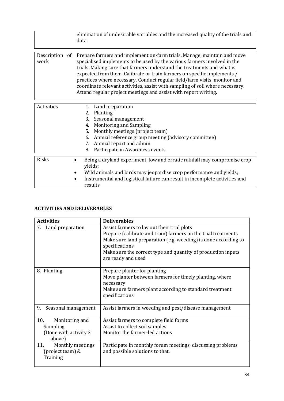|                        | elimination of undesirable variables and the increased quality of the trials and<br>data.                                                                                                                                                                                                                                                                                                                                                                                                                                                 |
|------------------------|-------------------------------------------------------------------------------------------------------------------------------------------------------------------------------------------------------------------------------------------------------------------------------------------------------------------------------------------------------------------------------------------------------------------------------------------------------------------------------------------------------------------------------------------|
| Description of<br>work | Prepare farmers and implement on-farm trials. Manage, maintain and move<br>specialised implements to be used by the various farmers involved in the<br>trials. Making sure that farmers understand the treatments and what is<br>expected from them. Calibrate or train farmers on specific implements /<br>practices where necessary. Conduct regular field/farm visits, monitor and<br>coordinate relevant activities, assist with sampling of soil where necessary.<br>Attend regular project meetings and assist with report writing. |
| Activities             | Land preparation<br>1.<br>Planting<br>2.<br>3.<br>Seasonal management<br><b>Monitoring and Sampling</b><br>4.<br>Monthly meetings (project team)<br>5.<br>Annual reference group meeting (advisory committee)<br>6.<br>Annual report and admin<br>7.<br>Participate in Awareness events<br>8.                                                                                                                                                                                                                                             |
| <b>Risks</b>           | Being a dryland experiment, low and erratic rainfall may compromise crop<br>yields;<br>Wild animals and birds may jeopardise crop performance and yields;<br>Instrumental and logistical failure can result in incomplete activities and<br>results                                                                                                                                                                                                                                                                                       |

### **ACTIVITIES AND DELIVERABLES**

| <b>Activities</b>         | <b>Deliverables</b>                                                                                          |  |
|---------------------------|--------------------------------------------------------------------------------------------------------------|--|
| 7. Land preparation       | Assist farmers to lay out their trial plots<br>Prepare (calibrate and train) farmers on the trial treatments |  |
|                           | Make sure land preparation (e.g. weeding) is done according to                                               |  |
|                           | specifications                                                                                               |  |
|                           | Make sure the correct type and quantity of production inputs<br>are ready and used                           |  |
|                           |                                                                                                              |  |
| 8. Planting               | Prepare planter for planting                                                                                 |  |
|                           | Move planter between farmers for timely planting, where                                                      |  |
|                           | necessary                                                                                                    |  |
|                           | Make sure farmers plant according to standard treatment                                                      |  |
|                           | specifications                                                                                               |  |
|                           |                                                                                                              |  |
| Seasonal management<br>9. | Assist farmers in weeding and pest/disease management                                                        |  |
| 10.<br>Monitoring and     | Assist farmers to complete field forms                                                                       |  |
| Sampling                  | Assist to collect soil samples                                                                               |  |
| (Done with activity 3)    | Monitor the farmer-led actions                                                                               |  |
| above)                    |                                                                                                              |  |
| 11.<br>Monthly meetings   | Participate in monthly forum meetings, discussing problems                                                   |  |
| (project team) &          | and possible solutions to that.                                                                              |  |
| Training                  |                                                                                                              |  |
|                           |                                                                                                              |  |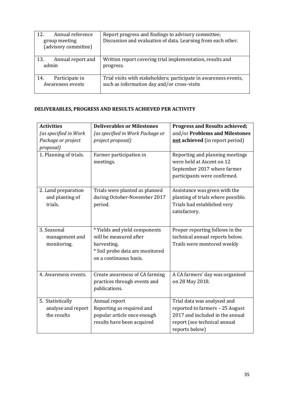| Annual reference<br>12.<br>group meeting<br>(advisory committee) | Report progress and findings to advisory committee;<br>Discussion and evaluation of data. Learning from each other. |
|------------------------------------------------------------------|---------------------------------------------------------------------------------------------------------------------|
| Annual report and<br>13.<br>admin                                | Written report covering trial implementation, results and<br>progress.                                              |
| Participate in<br>14.<br>Awareness events                        | Trial visits with stakeholders; participate in awareness events,<br>such as information day and/or cross-visits     |

### **DELIVERABLES, PROGRESS AND RESULTS ACHIEVED PER ACTIVITY**

| <b>Activities</b><br>(as specified in Work<br>Package or project | <b>Deliverables or Milestones</b><br>(as specified in Work Package or<br>project proposal)                                          | <b>Progress and Results achieved;</b><br>and/or Problems and Milestones<br>not achieved (in report period)                                          |
|------------------------------------------------------------------|-------------------------------------------------------------------------------------------------------------------------------------|-----------------------------------------------------------------------------------------------------------------------------------------------------|
| proposal)<br>1. Planning of trials.                              | Farmer participation in<br>meetings.                                                                                                | Reporting and planning meetings<br>were held at Ascent on 12<br>September 2017 where farmer<br>participants were confirmed.                         |
| 2. Land preparation<br>and planting of<br>trials.                | Trials were planted as planned<br>during October-November 2017<br>period.                                                           | Assistance was given with the<br>planting of trials where possible.<br>Trials had established very<br>satisfactory.                                 |
| 3. Seasonal<br>management and<br>monitoring.                     | * Yields and yield components<br>will be measured after<br>harvesting.<br>* Soil probe data are monitored<br>on a continuous basis. | Proper reporting follows in the<br>technical annual reports below.<br>Trails were montored weekly                                                   |
| 4. Awareness events.                                             | Create awareness of CA farming<br>practices through events and<br>publications.                                                     | A CA farmers' day was organised<br>on 28 May 2018.                                                                                                  |
| 5. Statistically<br>analyse and report<br>the results            | Annual report<br>Reporting as required and<br>popular article once enough<br>results have been acquired                             | Trial data was analysed and<br>reported to farmers - 25 August<br>2017 and included in the annual<br>report (see technical annual<br>reports below) |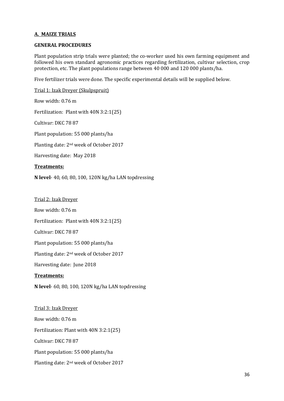### **A. MAIZE TRIALS**

### **GENERAL PROCEDURES**

Plant population strip trials were planted; the co-worker used his own farming equipment and followed his own standard agronomic practices regarding fertilization, cultivar selection, crop protection, etc. The plant populations range between 40 000 and 120 000 plants/ha.

Five fertilizer trials were done. The specific experimental details will be supplied below.

Trial 1: Izak Dreyer (Skulpspruit) Row width: 0.76 m Fertilization: Plant with 40N 3:2:1(25) Cultivar: DKC 78 87 Plant population: 55 000 plants/ha Planting date: 2nd week of October 2017 Harvesting date: May 2018 **Treatments: N level**- 40, 60, 80, 100, 120N kg/ha LAN topdressing Trial 2: Izak Dreyer Row width: 0.76 m

Fertilization: Plant with 40N 3:2:1(25)

Cultivar: DKC 78 87

Plant population: 55 000 plants/ha

Planting date: 2nd week of October 2017

Harvesting date: June 2018

### **Treatments:**

**N level**- 60, 80, 100, 120N kg/ha LAN topdressing

Trial 3: Izak Dreyer Row width: 0.76 m Fertilization: Plant with 40N 3:2:1(25) Cultivar: DKC 78 87 Plant population: 55 000 plants/ha Planting date: 2nd week of October 2017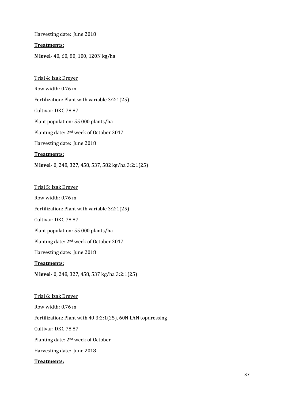Harvesting date: June 2018

### **Treatments:**

**N level**- 40, 60, 80, 100, 120N kg/ha

Trial 4: Izak Dreyer Row width: 0.76 m Fertilization: Plant with variable 3:2:1(25) Cultivar: DKC 78 87 Plant population: 55 000 plants/ha Planting date: 2nd week of October 2017 Harvesting date: June 2018 **Treatments:**

**N level**- 0, 248, 327, 458, 537, 582 kg/ha 3:2:1(25)

Trial 5: Izak Dreyer

Row width: 0.76 m

Fertilization: Plant with variable 3:2:1(25)

Cultivar: DKC 78 87

Plant population: 55 000 plants/ha

Planting date: 2nd week of October 2017

Harvesting date: June 2018

### **Treatments:**

**N level**- 0, 248, 327, 458, 537 kg/ha 3:2:1(25)

Trial 6: Izak Dreyer Row width: 0.76 m Fertilization: Plant with 40 3:2:1(25), 60N LAN topdressing Cultivar: DKC 78 87 Planting date: 2nd week of October Harvesting date: June 2018

### **Treatments:**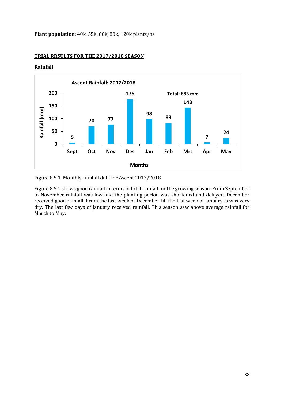**Plant population**: 40k, 55k, 60k, 80k, 120k plants/ha

#### **Ascent Rainfall: 2017/2018200 176 Total: 683 mm 143 150** Rainfall (mm) **Rainfall (mm) 98 83 100 70 77 50 24 5 7 0 Sept Oct Nov Des Jan Feb Mrt Apr May Months**

### **TRIAL RRSULTS FOR THE 2017/2018 SEASON**

**Rainfall**

Figure 8.5.1. Monthly rainfall data for Ascent 2017/2018.

Figure 8.5.1 shows good rainfall in terms of total rainfall for the growing season. From September to November rainfall was low and the planting period was shortened and delayed. December received good rainfall. From the last week of December till the last week of January is was very dry. The last few days of January received rainfall. This season saw above average rainfall for March to May.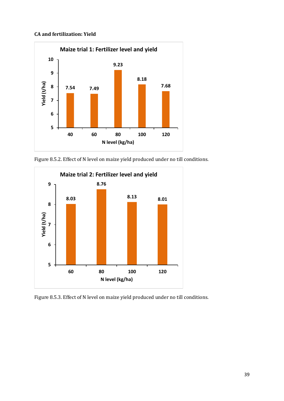### **CA and fertilization: Yield**



Figure 8.5.2. Effect of N level on maize yield produced under no till conditions.



Figure 8.5.3. Effect of N level on maize yield produced under no till conditions.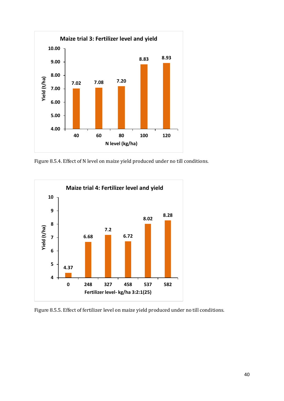

Figure 8.5.4. Effect of N level on maize yield produced under no till conditions.



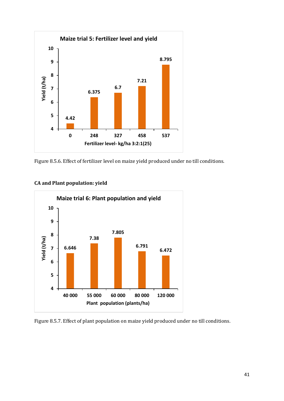

Figure 8.5.6. Effect of fertilizer level on maize yield produced under no till conditions.



**CA and Plant population: yield**

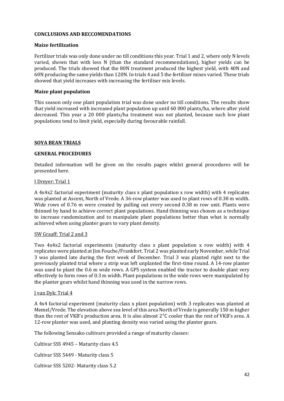### **CONCLUSIONS AND RECCOMENDATIONS**

### **Maize fertilization**

Fertilizer trials was only done under no till conditions this year. Trial 1 and 2, where only N levels varied, shown that with less N (than the standard recommendations), higher yields can be produced. The trials showed that the 80N treatment produced the highest yield, with 40N and 60N producing the same yields than 120N. In trials 4 and 5 the fertilizer mixes varied. These trials showed that yield increases with increasing the fertiliser mix levels.

### **Maize plant population**

This season only one plant population trial was done under no till conditions. The results show that yield increased with increased plant population up until 60 000 plants/ha, where after yield decreased. This year a 20 000 plants/ha treatment was not planted, because such low plant populations tend to limit yield, especially during favourable rainfall.

### **SOYA BEAN TRIALS**

### **GENERAL PROCEDURES**

Detailed information will be given on the results pages whilst general procedures will be presented here.

### I Dreyer: Trial 1

A 4x4x2 factorial experiment (maturity class x plant population x row width) with 4 replicates was planted at Ascent, North of Vrede. A 36-row planter was used to plant rows of 0.38 m width. Wide rows of 0.76 m were created by pulling out every second 0.38 m row unit. Plants were thinned by hand to achieve correct plant populations. Hand thinning was chosen as a technique to increase randomization and to manipulate plant populations better than what is normally achieved when using planter gears to vary plant density.

### SW Graaff: Trial 2 and 3

Two 4x4x2 factorial experiments (maturity class x plant population x row width) with 4 replicates were planted at Jim Fouche/Frankfort. Trial 2 was planted early November, while Trial 3 was planted late during the first week of December. Trial 3 was planted right next to the previously planted trial where a strip was left unplanted the first-time round. A 14-row planter was used to plant the 0.6 m wide rows. A GPS system enabled the tractor to double plant very effectively to form rows of 0.3 m width. Plant populations in the wide rows were manipulated by the planter gears whilst hand thinning was used in the narrow rows.

### J van Dyk: Trial 4

A 4x4 factorial experiment (maturity class x plant population) with 3 replicates was planted at Memel/Vrede. The elevation above sea level of this area North of Vrede is generally 150 m higher than the rest of VKB's production area. It is also almost 2°C cooler than the rest of VKB's area. A 12-row planter was used, and planting density was varied using the planter gears.

The following Sensako cultivars provided a range of maturity classes:

Cultivar SSS 4945 – Maturity class 4.5

Cultivar SSS 5449 - Maturity class 5

Cultivar SSS 5202- Maturity class 5.2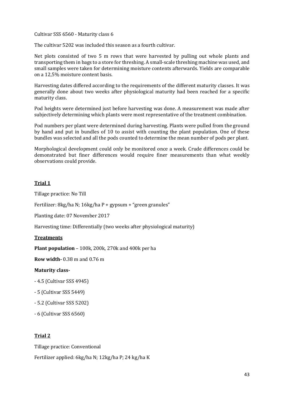Cultivar SSS 6560 - Maturity class 6

The cultivar 5202 was included this season as a fourth cultivar.

Net plots consisted of two 5 m rows that were harvested by pulling out whole plants and transporting them in bags to a store for threshing. A small-scale threshing machine was used, and small samples were taken for determining moisture contents afterwards. Yields are comparable on a 12,5% moisture content basis.

Harvesting dates differed according to the requirements of the different maturity classes. It was generally done about two weeks after physiological maturity had been reached for a specific maturity class.

Pod heights were determined just before harvesting was done. A measurement was made after subjectively determining which plants were most representative of the treatment combination.

Pod numbers per plant were determined during harvesting. Plants were pulled from the ground by hand and put in bundles of 10 to assist with counting the plant population. One of these bundles was selected and all the pods counted to determine the mean number of pods per plant.

Morphological development could only be monitored once a week. Crude differences could be demonstrated but finer differences would require finer measurements than what weekly observations could provide.

### **Trial 1**

Tillage practice: No Till

Fertilizer: 8kg/ha N; 16kg/ha P + gypsum + "green granules"

Planting date: 07 November 2017

Harvesting time: Differentially (two weeks after physiological maturity)

### **Treatments**

**Plant population** – 100k, 200k, 270k and 400k per ha

**Row width-** 0.38 m and 0.76 m

### **Maturity class-**

- 4.5 (Cultivar SSS 4945)
- 5 (Cultivar SSS 5449)
- 5.2 (Cultivar SSS 5202)
- 6 (Cultivar SSS 6560)

### **Trial 2**

Tillage practice: Conventional

Fertilizer applied: 6kg/ha N; 12kg/ha P; 24 kg/ha K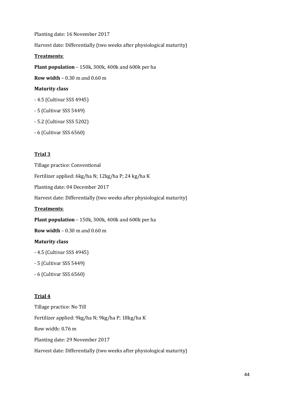Planting date: 16 November 2017 Harvest date: Differentially (two weeks after physiological maturity) **Treatments**:

**Plant population** – 150k, 300k, 400k and 600k per ha

**Row width** – 0.30 m and 0.60 m

### **Maturity class**

- 4.5 (Cultivar SSS 4945)
- 5 (Cultivar SSS 5449)
- 5.2 (Cultivar SSS 5202)
- 6 (Cultivar SSS 6560)

### **Trial 3**

Tillage practice: Conventional

Fertilizer applied: 6kg/ha N; 12kg/ha P; 24 kg/ha K

Planting date: 04 December 2017

Harvest date: Differentially (two weeks after physiological maturity)

### **Treatments**:

**Plant population** – 150k, 300k, 400k and 600k per ha

**Row width** – 0.30 m and 0.60 m

### **Maturity class**

- 4.5 (Cultivar SSS 4945)
- 5 (Cultivar SSS 5449)
- 6 (Cultivar SSS 6560)

### **Trial 4**

Tillage practice: No Till Fertilizer applied: 9kg/ha N; 9kg/ha P; 18kg/ha K Row width: 0.76 m Planting date: 29 November 2017 Harvest date: Differentially (two weeks after physiological maturity)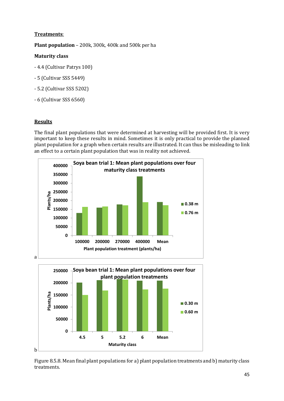### **Treatments**:

**Plant population** – 200k, 300k, 400k and 500k per ha

### **Maturity class**

- 4.4 (Cultivar Patrys 100)
- 5 (Cultivar SSS 5449)
- 5.2 (Cultivar SSS 5202)
- 6 (Cultivar SSS 6560)

### **Results**

The final plant populations that were determined at harvesting will be provided first. It is very important to keep these results in mind. Sometimes it is only practical to provide the planned plant population for a graph when certain results are illustrated. It can thus be misleading to link an effect to a certain plant population that was in reality not achieved.



Figure 8.5.8. Mean final plant populations for a) plant population treatments and b) maturity class treatments.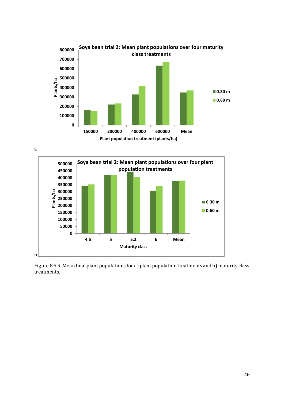



Figure 8.5.9. Mean final plant populations for a) plant population treatments and b) maturity class treatments.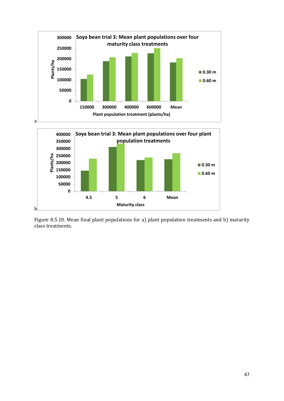

Figure 8.5.10. Mean final plant populations for a) plant population treatments and b) maturity class treatments.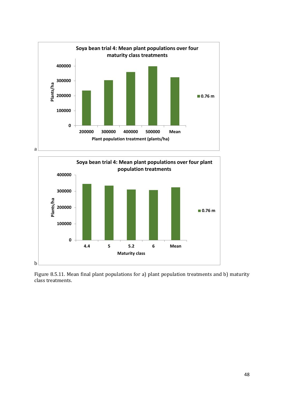



Figure 8.5.11. Mean final plant populations for a) plant population treatments and b) maturity class treatments.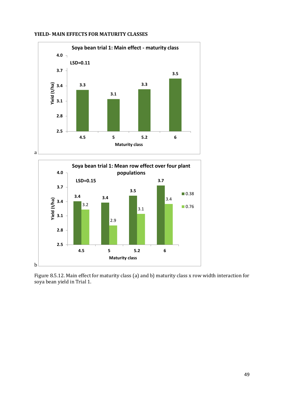

### **YIELD- MAIN EFFECTS FOR MATURITY CLASSES**



Figure 8.5.12. Main effect for maturity class (a) and b) maturity class x row width interaction for soya bean yield in Trial 1.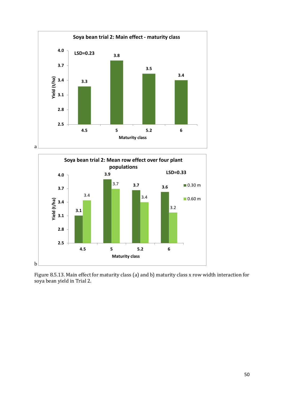



Figure 8.5.13. Main effect for maturity class (a) and b) maturity class x row width interaction for soya bean yield in Trial 2.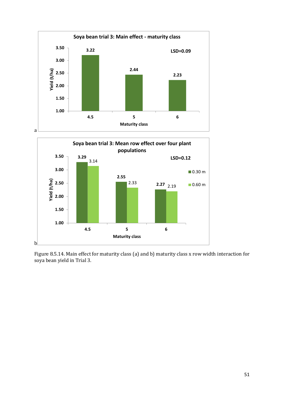



Figure 8.5.14. Main effect for maturity class (a) and b) maturity class x row width interaction for soya bean yield in Trial 3.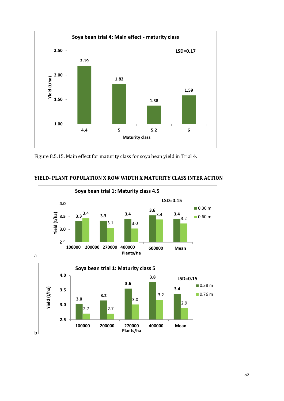

Figure 8.5.15. Main effect for maturity class for soya bean yield in Trial 4.



**YIELD- PLANT POPULATION X ROW WIDTH X MATURITY CLASS INTER ACTION**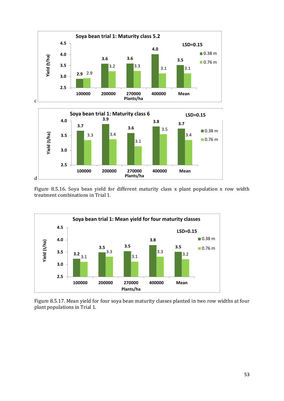

Figure 8.5.16. Soya bean yield for different maturity class x plant population x row width treatment combinations in Trial 1.



Figure 8.5.17. Mean yield for four soya bean maturity classes planted in two row widths at four plant populations in Trial 1.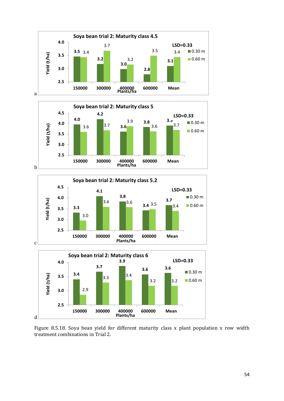







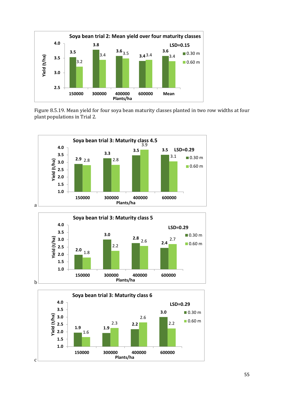

Figure 8.5.19. Mean yield for four soya bean maturity classes planted in two row widths at four plant populations in Trial 2.





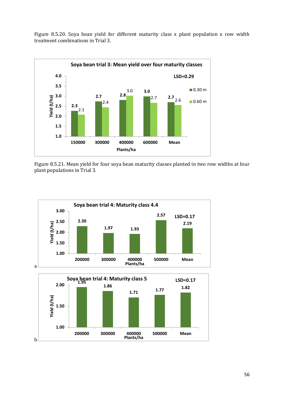Figure 8.5.20. Soya bean yield for different maturity class x plant population x row width treatment combinations in Trial 3.



Figure 8.5.21. Mean yield for four soya bean maturity classes planted in two row widths at four plant populations in Trial 3.

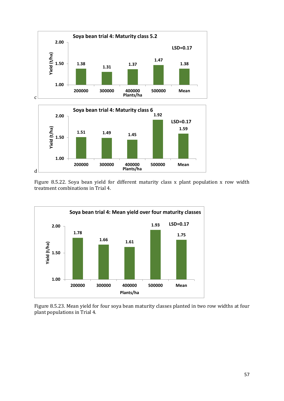



Figure 8.5.22. Soya bean yield for different maturity class x plant population x row width treatment combinations in Trial 4.



Figure 8.5.23. Mean yield for four soya bean maturity classes planted in two row widths at four plant populations in Trial 4.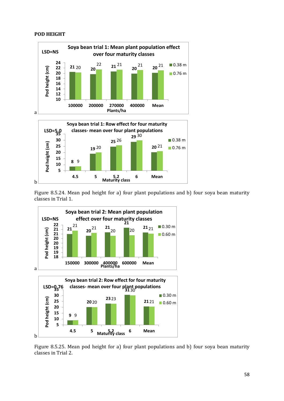### **POD HEIGHT**

b



Figure 8.5.24. Mean pod height for a) four plant populations and b) four soya bean maturity classes in Trial 1.



Figure 8.5.25. Mean pod height for a) four plant populations and b) four soya bean maturity classes in Trial 2.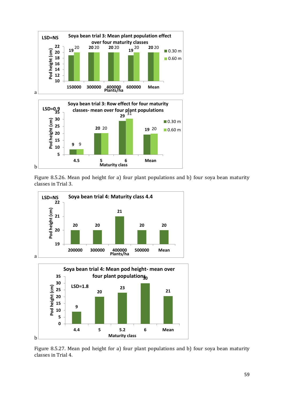

Figure 8.5.26. Mean pod height for a) four plant populations and b) four soya bean maturity classes in Trial 3.



Figure 8.5.27. Mean pod height for a) four plant populations and b) four soya bean maturity classes in Trial 4.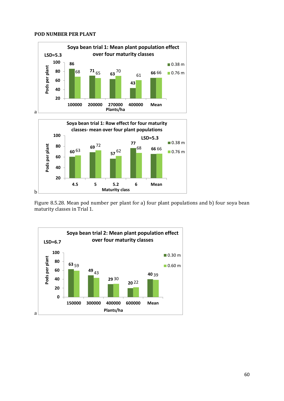### **POD NUMBER PER PLANT**

b



**4.5 5 5.2 6 Mean**

**Maturity class**

Figure 8.5.28. Mean pod number per plant for a) four plant populations and b) four soya bean maturity classes in Trial 1.

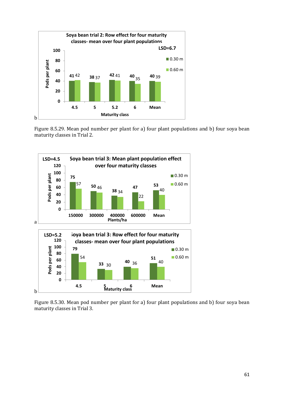

Figure 8.5.29. Mean pod number per plant for a) four plant populations and b) four soya bean maturity classes in Trial 2.



Figure 8.5.30. Mean pod number per plant for a) four plant populations and b) four soya bean maturity classes in Trial 3.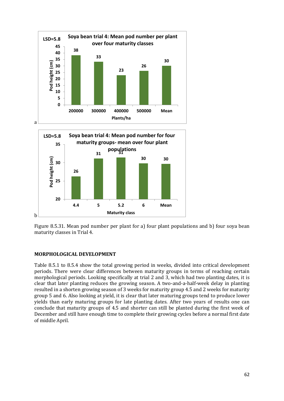

Figure 8.5.31. Mean pod number per plant for a) four plant populations and b) four soya bean maturity classes in Trial 4.

### **MORPHOLOGICAL DEVELOPMENT**

Table 8.5.1 to 8.5.4 show the total growing period in weeks, divided into critical development periods. There were clear differences between maturity groups in terms of reaching certain morphological periods. Looking specifically at trial 2 and 3, which had two planting dates, it is clear that later planting reduces the growing season. A two-and-a-half-week delay in planting resulted in a shorten growing season of 3 weeks for maturity group 4.5 and 2 weeks for maturity group 5 and 6. Also looking at yield, it is clear that later maturing groups tend to produce lower yields than early maturing groups for late planting dates. After two years of results one can conclude that maturity groups of 4.5 and shorter can still be planted during the first week of December and still have enough time to complete their growing cycles before a normal first date of middle April.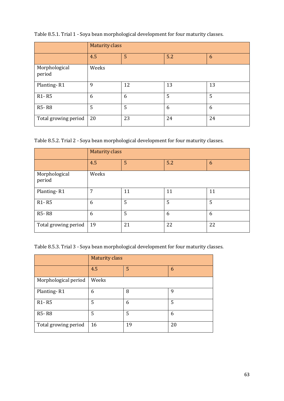|                                | <b>Maturity class</b> |    |     |    |
|--------------------------------|-----------------------|----|-----|----|
|                                | 4.5                   | 5  | 5.2 | 6  |
| Morphological<br>period        | Weeks                 |    |     |    |
| Planting-R1                    | 9                     | 12 | 13  | 13 |
| R <sub>1</sub> -R <sub>5</sub> | 6                     | 6  | 5   | 5  |
| <b>R5-R8</b>                   | 5                     | 5  | 6   | 6  |
| Total growing period           | 20                    | 23 | 24  | 24 |

Table 8.5.1. Trial 1 - Soya bean morphological development for four maturity classes.

Table 8.5.2. Trial 2 - Soya bean morphological development for four maturity classes.

|                                | <b>Maturity class</b> |    |     |    |
|--------------------------------|-----------------------|----|-----|----|
|                                | 4.5                   | 5  | 5.2 | 6  |
| Morphological<br>period        | Weeks                 |    |     |    |
| Planting-R1                    | 7                     | 11 | 11  | 11 |
| R <sub>1</sub> -R <sub>5</sub> | 6                     | 5  | 5   | 5  |
| <b>R5-R8</b>                   | 6                     | 5  | 6   | 6  |
| Total growing period           | 19                    | 21 | 22  | 22 |

Table 8.5.3. Trial 3 - Soya bean morphological development for four maturity classes.

|                                | <b>Maturity class</b> |    |    |  |
|--------------------------------|-----------------------|----|----|--|
|                                | 4.5                   | 5  | 6  |  |
| Morphological period           | Weeks                 |    |    |  |
| Planting-R1                    | 6                     | 8  | 9  |  |
| R <sub>1</sub> -R <sub>5</sub> | 5                     | 6  | 5  |  |
| <b>R5-R8</b>                   | 5                     | 5  | 6  |  |
| Total growing period           | 16                    | 19 | 20 |  |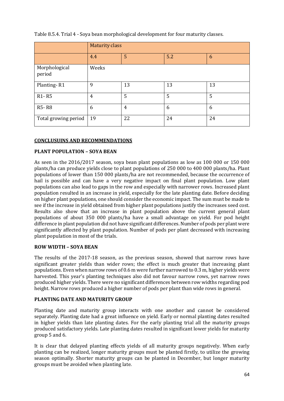|                                | <b>Maturity class</b> |    |     |    |
|--------------------------------|-----------------------|----|-----|----|
|                                | 4.4                   | 5  | 5.2 | 6  |
| Morphological<br>period        | Weeks                 |    |     |    |
| Planting-R1                    | 9                     | 13 | 13  | 13 |
| R <sub>1</sub> -R <sub>5</sub> | 4                     | 5  | 5   | 5  |
| <b>R5-R8</b>                   | 6                     | 4  | 6   | 6  |
| Total growing period           | 19                    | 22 | 24  | 24 |

Table 8.5.4. Trial 4 - Soya bean morphological development for four maturity classes.

### **CONCLUSUINS AND RECOMMENDATIONS**

### **PLANT POPULATION – SOYA BEAN**

As seen in the 2016/2017 season, soya bean plant populations as low as 100 000 or 150 000 plants/ha can produce yields close to plant populations of 250 000 to 400 000 plants/ha. Plant populations of lower than 150 000 plants/ha are not recommended, because the occurrence of hail is possible and can have a very negative impact on final plant population. Low plant populations can also lead to gaps in the row and especially with narrower rows. Increased plant population resulted in an increase in yield, especially for the late planting date. Before deciding on higher plant populations, one should consider the economic impact. The sum must be made to see if the increase in yield obtained from higher plant populations justify the increases seed cost. Results also show that an increase in plant population above the current general plant populations of about 350 000 plants/ha have a small advantage on yield. For pod height difference in plant population did not have significant differences. Number of pods per plant were significantly affected by plant population. Number of pods per plant decreased with increasing plant population in most of the trials.

### **ROW WIDTH – SOYA BEAN**

The results of the 2017-18 season, as the previous season, showed that narrow rows have significant greater yields than wider rows; the effect is much greater that increasing plant populations. Even when narrow rows of 0.6 m were further narrowed to 0.3 m, higher yields were harvested. This year's planting techniques also did not favour narrow rows, yet narrow rows produced higher yields. There were no significant differences between row widths regarding pod height. Narrow rows produced a higher number of pods per plant than wide rows in general.

### **PLANTING DATE AND MATURITY GROUP**

Planting date and maturity group interacts with one another and cannot be considered separately. Planting date had a great influence on yield. Early or normal planting dates resulted in higher yields than late planting dates. For the early planting trial all the maturity groups produced satisfactory yields. Late planting dates resulted in significant lower yields for maturity group 5 and 6.

It is clear that delayed planting effects yields of all maturity groups negatively. When early planting can be realized, longer maturity groups must be planted firstly, to utilize the growing season optimally. Shorter maturity groups can be planted in December, but longer maturity groups must be avoided when planting late.